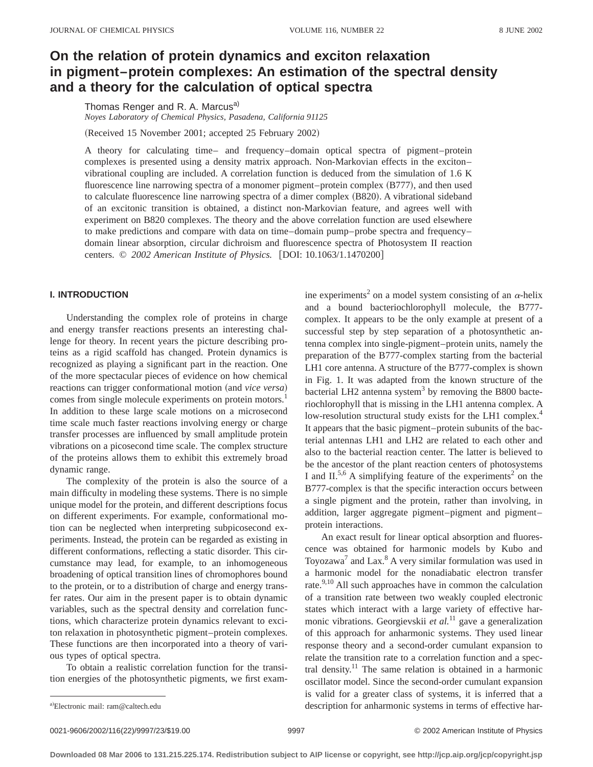# **On the relation of protein dynamics and exciton relaxation in pigment–protein complexes: An estimation of the spectral density and a theory for the calculation of optical spectra**

Thomas Renger and R. A. Marcus<sup>a)</sup>

*Noyes Laboratory of Chemical Physics, Pasadena, California 91125*

(Received 15 November 2001; accepted 25 February 2002)

A theory for calculating time– and frequency–domain optical spectra of pigment–protein complexes is presented using a density matrix approach. Non-Markovian effects in the exciton– vibrational coupling are included. A correlation function is deduced from the simulation of 1.6 K fluorescence line narrowing spectra of a monomer pigment–protein complex (B777), and then used to calculate fluorescence line narrowing spectra of a dimer complex (B820). A vibrational sideband of an excitonic transition is obtained, a distinct non-Markovian feature, and agrees well with experiment on B820 complexes. The theory and the above correlation function are used elsewhere to make predictions and compare with data on time–domain pump–probe spectra and frequency– domain linear absorption, circular dichroism and fluorescence spectra of Photosystem II reaction centers. © 2002 American Institute of Physics. [DOI: 10.1063/1.1470200]

# **I. INTRODUCTION**

Understanding the complex role of proteins in charge and energy transfer reactions presents an interesting challenge for theory. In recent years the picture describing proteins as a rigid scaffold has changed. Protein dynamics is recognized as playing a significant part in the reaction. One of the more spectacular pieces of evidence on how chemical reactions can trigger conformational motion (and *vice versa*) comes from single molecule experiments on protein motors.<sup>1</sup> In addition to these large scale motions on a microsecond time scale much faster reactions involving energy or charge transfer processes are influenced by small amplitude protein vibrations on a picosecond time scale. The complex structure of the proteins allows them to exhibit this extremely broad dynamic range.

The complexity of the protein is also the source of a main difficulty in modeling these systems. There is no simple unique model for the protein, and different descriptions focus on different experiments. For example, conformational motion can be neglected when interpreting subpicosecond experiments. Instead, the protein can be regarded as existing in different conformations, reflecting a static disorder. This circumstance may lead, for example, to an inhomogeneous broadening of optical transition lines of chromophores bound to the protein, or to a distribution of charge and energy transfer rates. Our aim in the present paper is to obtain dynamic variables, such as the spectral density and correlation functions, which characterize protein dynamics relevant to exciton relaxation in photosynthetic pigment–protein complexes. These functions are then incorporated into a theory of various types of optical spectra.

To obtain a realistic correlation function for the transition energies of the photosynthetic pigments, we first exam-

ine experiments<sup>2</sup> on a model system consisting of an  $\alpha$ -helix and a bound bacteriochlorophyll molecule, the B777 complex. It appears to be the only example at present of a successful step by step separation of a photosynthetic antenna complex into single-pigment–protein units, namely the preparation of the B777-complex starting from the bacterial LH1 core antenna. A structure of the B777-complex is shown in Fig. 1. It was adapted from the known structure of the bacterial LH2 antenna system<sup>3</sup> by removing the B800 bacteriochlorophyll that is missing in the LH1 antenna complex. A low-resolution structural study exists for the LH1 complex.<sup>4</sup> It appears that the basic pigment–protein subunits of the bacterial antennas LH1 and LH2 are related to each other and also to the bacterial reaction center. The latter is believed to be the ancestor of the plant reaction centers of photosystems I and  $II^{5,6}$  A simplifying feature of the experiments<sup>2</sup> on the B777-complex is that the specific interaction occurs between a single pigment and the protein, rather than involving, in addition, larger aggregate pigment–pigment and pigment– protein interactions.

An exact result for linear optical absorption and fluorescence was obtained for harmonic models by Kubo and Toyozawa7 and Lax.8 A very similar formulation was used in a harmonic model for the nonadiabatic electron transfer rate.<sup>9,10</sup> All such approaches have in common the calculation of a transition rate between two weakly coupled electronic states which interact with a large variety of effective harmonic vibrations. Georgievskii *et al.*<sup>11</sup> gave a generalization of this approach for anharmonic systems. They used linear response theory and a second-order cumulant expansion to relate the transition rate to a correlation function and a spectral density.<sup>11</sup> The same relation is obtained in a harmonic oscillator model. Since the second-order cumulant expansion is valid for a greater class of systems, it is inferred that a description for anharmonic systems in terms of effective har-

0021-9606/2002/116(22)/9997/23/\$19.00 © 2002 American Institute of Physics 9997

a)Electronic mail: ram@caltech.edu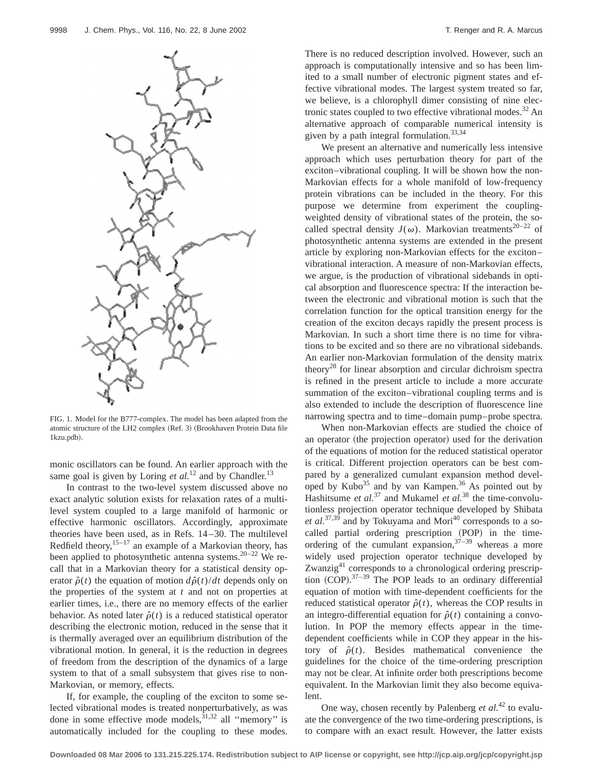

FIG. 1. Model for the B777-complex. The model has been adapted from the atomic structure of the LH2 complex (Ref. 3) (Brookhaven Protein Data file 1kzu.pdb).

monic oscillators can be found. An earlier approach with the same goal is given by Loring *et al.*<sup>12</sup> and by Chandler.<sup>13</sup>

In contrast to the two-level system discussed above no exact analytic solution exists for relaxation rates of a multilevel system coupled to a large manifold of harmonic or effective harmonic oscillators. Accordingly, approximate theories have been used, as in Refs. 14–30. The multilevel Redfield theory,  $15-17$  an example of a Markovian theory, has been applied to photosynthetic antenna systems.<sup>20–22</sup> We recall that in a Markovian theory for a statistical density operator  $\hat{\rho}(t)$  the equation of motion  $d\hat{\rho}(t)/dt$  depends only on the properties of the system at *t* and not on properties at earlier times, i.e., there are no memory effects of the earlier behavior. As noted later  $\hat{\rho}(t)$  is a reduced statistical operator describing the electronic motion, reduced in the sense that it is thermally averaged over an equilibrium distribution of the vibrational motion. In general, it is the reduction in degrees of freedom from the description of the dynamics of a large system to that of a small subsystem that gives rise to non-Markovian, or memory, effects.

If, for example, the coupling of the exciton to some selected vibrational modes is treated nonperturbatively, as was done in some effective mode models,  $31,32$  all "memory" is automatically included for the coupling to these modes. There is no reduced description involved. However, such an approach is computationally intensive and so has been limited to a small number of electronic pigment states and effective vibrational modes. The largest system treated so far, we believe, is a chlorophyll dimer consisting of nine electronic states coupled to two effective vibrational modes.<sup>32</sup> An alternative approach of comparable numerical intensity is given by a path integral formulation.33,34

We present an alternative and numerically less intensive approach which uses perturbation theory for part of the exciton–vibrational coupling. It will be shown how the non-Markovian effects for a whole manifold of low-frequency protein vibrations can be included in the theory. For this purpose we determine from experiment the couplingweighted density of vibrational states of the protein, the socalled spectral density  $J(\omega)$ . Markovian treatments<sup>20–22</sup> of photosynthetic antenna systems are extended in the present article by exploring non-Markovian effects for the exciton– vibrational interaction. A measure of non-Markovian effects, we argue, is the production of vibrational sidebands in optical absorption and fluorescence spectra: If the interaction between the electronic and vibrational motion is such that the correlation function for the optical transition energy for the creation of the exciton decays rapidly the present process is Markovian. In such a short time there is no time for vibrations to be excited and so there are no vibrational sidebands. An earlier non-Markovian formulation of the density matrix theory<sup>28</sup> for linear absorption and circular dichroism spectra is refined in the present article to include a more accurate summation of the exciton–vibrational coupling terms and is also extended to include the description of fluorescence line narrowing spectra and to time–domain pump–probe spectra.

When non-Markovian effects are studied the choice of an operator (the projection operator) used for the derivation of the equations of motion for the reduced statistical operator is critical. Different projection operators can be best compared by a generalized cumulant expansion method developed by  $Kubo^{35}$  and by van Kampen.<sup>36</sup> As pointed out by Hashitsume *et al.*<sup>37</sup> and Mukamel *et al.*<sup>38</sup> the time-convolutionless projection operator technique developed by Shibata et al.<sup>37,39</sup> and by Tokuyama and Mori<sup>40</sup> corresponds to a socalled partial ordering prescription (POP) in the timeordering of the cumulant expansion,  $37-39$  whereas a more widely used projection operator technique developed by Zwanzig<sup>41</sup> corresponds to a chronological ordering prescription  $(COP)$ .<sup>37–39</sup> The POP leads to an ordinary differential equation of motion with time-dependent coefficients for the reduced statistical operator  $\hat{\rho}(t)$ , whereas the COP results in an integro-differential equation for  $\hat{\rho}(t)$  containing a convolution. In POP the memory effects appear in the timedependent coefficients while in COP they appear in the history of  $\hat{\rho}(t)$ . Besides mathematical convenience the guidelines for the choice of the time-ordering prescription may not be clear. At infinite order both prescriptions become equivalent. In the Markovian limit they also become equivalent.

One way, chosen recently by Palenberg *et al.*<sup>42</sup> to evaluate the convergence of the two time-ordering prescriptions, is to compare with an exact result. However, the latter exists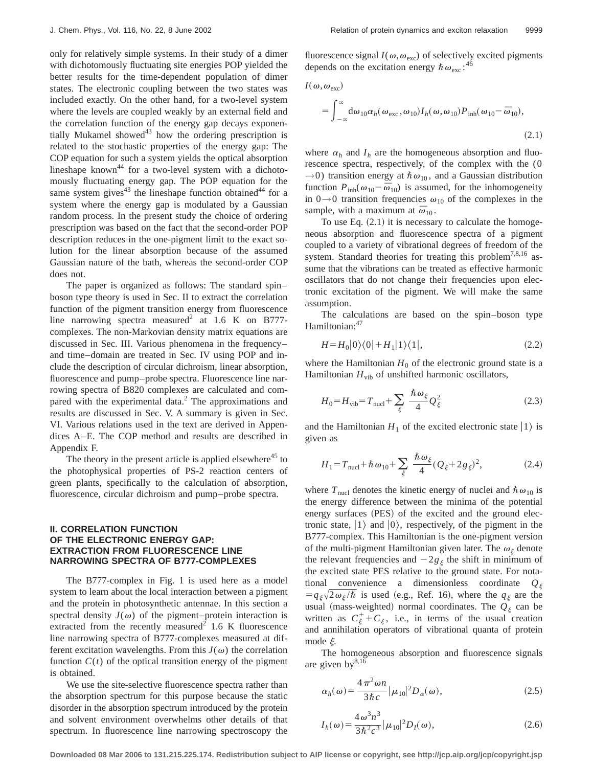only for relatively simple systems. In their study of a dimer with dichotomously fluctuating site energies POP yielded the better results for the time-dependent population of dimer states. The electronic coupling between the two states was included exactly. On the other hand, for a two-level system where the levels are coupled weakly by an external field and the correlation function of the energy gap decays exponentially Mukamel showed<sup>43</sup> how the ordering prescription is related to the stochastic properties of the energy gap: The COP equation for such a system yields the optical absorption lineshape known<sup>44</sup> for a two-level system with a dichotomously fluctuating energy gap. The POP equation for the same system gives<sup>43</sup> the lineshape function obtained<sup>44</sup> for a system where the energy gap is modulated by a Gaussian random process. In the present study the choice of ordering prescription was based on the fact that the second-order POP description reduces in the one-pigment limit to the exact solution for the linear absorption because of the assumed Gaussian nature of the bath, whereas the second-order COP does not.

The paper is organized as follows: The standard spin– boson type theory is used in Sec. II to extract the correlation function of the pigment transition energy from fluorescence line narrowing spectra measured<sup>2</sup> at 1.6 K on B777complexes. The non-Markovian density matrix equations are discussed in Sec. III. Various phenomena in the frequency– and time–domain are treated in Sec. IV using POP and include the description of circular dichroism, linear absorption, fluorescence and pump–probe spectra. Fluorescence line narrowing spectra of B820 complexes are calculated and compared with the experimental data. $^{2}$  The approximations and results are discussed in Sec. V. A summary is given in Sec. VI. Various relations used in the text are derived in Appendices A–E. The COP method and results are described in Appendix F.

The theory in the present article is applied elsewhere<sup>45</sup> to the photophysical properties of PS-2 reaction centers of green plants, specifically to the calculation of absorption, fluorescence, circular dichroism and pump–probe spectra.

# **II. CORRELATION FUNCTION OF THE ELECTRONIC ENERGY GAP: EXTRACTION FROM FLUORESCENCE LINE NARROWING SPECTRA OF B777-COMPLEXES**

The B777-complex in Fig. 1 is used here as a model system to learn about the local interaction between a pigment and the protein in photosynthetic antennae. In this section a spectral density  $J(\omega)$  of the pigment–protein interaction is extracted from the recently measured<sup>2</sup> 1.6 K fluorescence line narrowing spectra of B777-complexes measured at different excitation wavelengths. From this  $J(\omega)$  the correlation function  $C(t)$  of the optical transition energy of the pigment is obtained.

We use the site-selective fluorescence spectra rather than the absorption spectrum for this purpose because the static disorder in the absorption spectrum introduced by the protein and solvent environment overwhelms other details of that spectrum. In fluorescence line narrowing spectroscopy the fluorescence signal  $I(\omega,\omega_{\text{exc}})$  of selectively excited pigments depends on the excitation energy  $\hbar \omega_{\text{exc}}$ :<sup>46</sup>

$$
I(\omega, \omega_{\text{exc}})
$$
  
= 
$$
\int_{-\infty}^{\infty} d\omega_{10} \alpha_h(\omega_{\text{exc}}, \omega_{10}) I_h(\omega, \omega_{10}) P_{\text{inh}}(\omega_{10} - \bar{\omega}_{10}),
$$
  
(2.1)

where  $\alpha_h$  and  $I_h$  are the homogeneous absorption and fluorescence spectra, respectively, of the complex with the (0  $\rightarrow$ 0) transition energy at  $\hbar \omega_{10}$ , and a Gaussian distribution function  $P_{inh}(\omega_{10}-\bar{\omega}_{10})$  is assumed, for the inhomogeneity in  $0\rightarrow 0$  transition frequencies  $\omega_{10}$  of the complexes in the sample, with a maximum at  $\bar{\omega}_{10}$ .

To use Eq.  $(2.1)$  it is necessary to calculate the homogeneous absorption and fluorescence spectra of a pigment coupled to a variety of vibrational degrees of freedom of the system. Standard theories for treating this problem<sup>7,8,16</sup> assume that the vibrations can be treated as effective harmonic oscillators that do not change their frequencies upon electronic excitation of the pigment. We will make the same assumption.

The calculations are based on the spin–boson type Hamiltonian:<sup>47</sup>

$$
H = H_0|0\rangle\langle 0| + H_1|1\rangle\langle 1|,\tag{2.2}
$$

where the Hamiltonian  $H_0$  of the electronic ground state is a Hamiltonian  $H_{\text{vib}}$  of unshifted harmonic oscillators,

$$
H_0 = H_{\text{vib}} = T_{\text{nucl}} + \sum_{\xi} \frac{\hbar \omega_{\xi}}{4} Q_{\xi}^2 \tag{2.3}
$$

and the Hamiltonian  $H_1$  of the excited electronic state  $|1\rangle$  is given as

$$
H_1 = T_{\text{nucl}} + \hbar \omega_{10} + \sum_{\xi} \frac{\hbar \omega_{\xi}}{4} (Q_{\xi} + 2g_{\xi})^2, \tag{2.4}
$$

where  $T_{\text{nucl}}$  denotes the kinetic energy of nuclei and  $\hbar \omega_{10}$  is the energy difference between the minima of the potential energy surfaces (PES) of the excited and the ground electronic state,  $|1\rangle$  and  $|0\rangle$ , respectively, of the pigment in the B777-complex. This Hamiltonian is the one-pigment version of the multi-pigment Hamiltonian given later. The  $\omega_{\xi}$  denote the relevant frequencies and  $-2g_{\xi}$  the shift in minimum of the excited state PES relative to the ground state. For notational convenience a dimensionless coordinate *Q*<sup>j</sup>  $= q_{\xi} \sqrt{2 \omega_{\xi}/\hbar}$  is used (e.g., Ref. 16), where the  $q_{\xi}$  are the usual (mass-weighted) normal coordinates. The  $Q_\xi$  can be written as  $C_{\xi}^{+}+C_{\xi}$ , i.e., in terms of the usual creation and annihilation operators of vibrational quanta of protein mode  $\mathcal{E}$ .

The homogeneous absorption and fluorescence signals are given by  $8,16$ 

$$
\alpha_h(\omega) = \frac{4\pi^2 \omega n}{3\hbar c} |\mu_{10}|^2 D_\alpha(\omega),\tag{2.5}
$$

$$
I_h(\omega) = \frac{4\,\omega^3 n^3}{3\hbar^2 c^3} |\mu_{10}|^2 D_I(\omega),\tag{2.6}
$$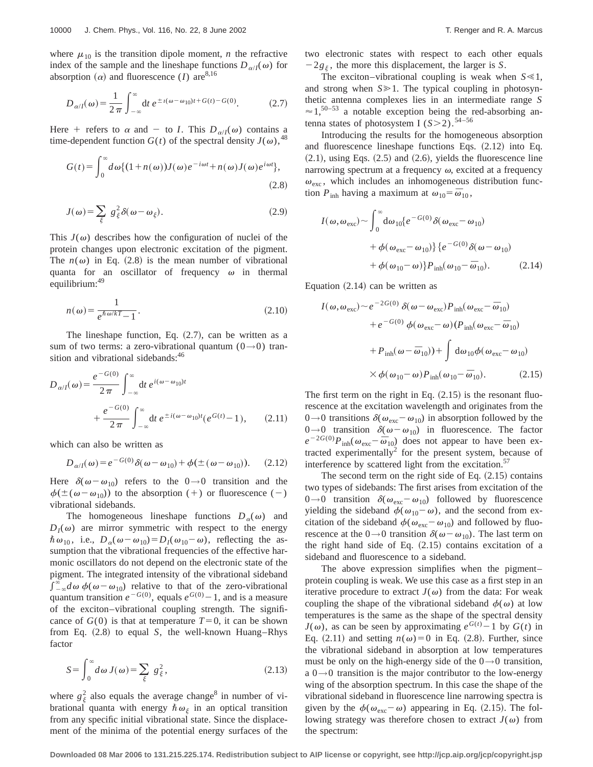where  $\mu_{10}$  is the transition dipole moment, *n* the refractive index of the sample and the lineshape functions  $D_{\alpha/I}(\omega)$  for absorption  $(\alpha)$  and fluorescence (*I*) are<sup>8,16</sup>

$$
D_{\alpha/I}(\omega) = \frac{1}{2\pi} \int_{-\infty}^{\infty} dt \, e^{\pm i(\omega - \omega_{10})t + G(t) - G(0)}.
$$
 (2.7)

Here + refers to  $\alpha$  and - to *I*. This  $D_{\alpha/I}(\omega)$  contains a time-dependent function  $G(t)$  of the spectral density  $J(\omega)$ , <sup>48</sup>

$$
G(t) = \int_0^\infty d\omega \{ (1 + n(\omega)) J(\omega) e^{-i\omega t} + n(\omega) J(\omega) e^{i\omega t} \},
$$
\n(2.8)

$$
J(\omega) = \sum_{\xi} g_{\xi}^2 \delta(\omega - \omega_{\xi}).
$$
 (2.9)

This  $J(\omega)$  describes how the configuration of nuclei of the protein changes upon electronic excitation of the pigment. The  $n(\omega)$  in Eq. (2.8) is the mean number of vibrational quanta for an oscillator of frequency  $\omega$  in thermal equilibrium:<sup>49</sup>

$$
n(\omega) = \frac{1}{e^{\hbar \omega/kT} - 1}.
$$
\n(2.10)

The lineshape function, Eq.  $(2.7)$ , can be written as a sum of two terms: a zero-vibrational quantum  $(0\rightarrow 0)$  transition and vibrational sidebands:<sup>46</sup>

$$
D_{\alpha/I}(\omega) = \frac{e^{-G(0)}}{2\pi} \int_{-\infty}^{\infty} dt \, e^{i(\omega - \omega_{10})t} + \frac{e^{-G(0)}}{2\pi} \int_{-\infty}^{\infty} dt \, e^{\pm i(\omega - \omega_{10})t} (e^{G(t)} - 1), \qquad (2.11)
$$

which can also be written as

$$
D_{\alpha/I}(\omega) = e^{-G(0)} \delta(\omega - \omega_{10}) + \phi(\pm(\omega - \omega_{10})). \tag{2.12}
$$

Here  $\delta(\omega-\omega_{10})$  refers to the 0→0 transition and the  $\phi(\pm(\omega-\omega_{10}))$  to the absorption (+) or fluorescence (-) vibrational sidebands.

The homogeneous lineshape functions  $D_\alpha(\omega)$  and  $D_I(\omega)$  are mirror symmetric with respect to the energy  $\hbar \omega_{10}$ , i.e.,  $D_\alpha(\omega - \omega_{10}) = D_I(\omega_{10} - \omega)$ , reflecting the assumption that the vibrational frequencies of the effective harmonic oscillators do not depend on the electronic state of the pigment. The integrated intensity of the vibrational sideband  $\int_{-\infty}^{\infty} d\omega \phi(\omega-\omega_{10})$  relative to that of the zero-vibrational quantum transition  $e^{-G(0)}$ , equals  $e^{G(0)} - 1$ , and is a measure of the exciton–vibrational coupling strength. The significance of  $G(0)$  is that at temperature  $T=0$ , it can be shown from Eq.  $(2.8)$  to equal *S*, the well-known Huang–Rhys factor

$$
S = \int_0^\infty d\omega J(\omega) = \sum_{\xi} g_{\xi}^2,\tag{2.13}
$$

where  $g_{\xi}^{2}$  also equals the average change<sup>8</sup> in number of vibrational quanta with energy  $\hbar \omega_{\xi}$  in an optical transition from any specific initial vibrational state. Since the displacement of the minima of the potential energy surfaces of the two electronic states with respect to each other equals  $-2g_{\xi}$ , the more this displacement, the larger is *S*.

The exciton–vibrational coupling is weak when  $S \ll 1$ , and strong when  $S \ge 1$ . The typical coupling in photosynthetic antenna complexes lies in an intermediate range *S*  $\approx 1,50-53$  a notable exception being the red-absorbing antenna states of photosystem I  $(S>2)$ .<sup>54–56</sup>

Introducing the results for the homogeneous absorption and fluorescence lineshape functions Eqs.  $(2.12)$  into Eq.  $(2.1)$ , using Eqs.  $(2.5)$  and  $(2.6)$ , yields the fluorescence line narrowing spectrum at a frequency  $\omega$ , excited at a frequency  $\omega_{\text{exc}}$ , which includes an inhomogeneous distribution function  $P_{\text{inh}}$  having a maximum at  $\omega_{10} = \bar{\omega}_{10}$ ,

$$
I(\omega, \omega_{\text{exc}}) \sim \int_0^\infty d\omega_{10} \{e^{-G(0)}\delta(\omega_{\text{exc}} - \omega_{10}) + \phi(\omega_{\text{exc}} - \omega_{10})\} \{e^{-G(0)}\delta(\omega - \omega_{10}) + \phi(\omega_{10} - \omega)\} P_{\text{inh}}(\omega_{10} - \bar{\omega}_{10}).
$$
 (2.14)

Equation  $(2.14)$  can be written as

$$
I(\omega, \omega_{\text{exc}}) \sim e^{-2G(0)} \delta(\omega - \omega_{\text{exc}}) P_{\text{inh}}(\omega_{\text{exc}} - \bar{\omega}_{10})
$$

$$
+ e^{-G(0)} \phi(\omega_{\text{exc}} - \omega) (P_{\text{inh}}(\omega_{\text{exc}} - \bar{\omega}_{10})
$$

$$
+ P_{\text{inh}}(\omega - \bar{\omega}_{10}) + \int d\omega_{10} \phi(\omega_{\text{exc}} - \omega_{10})
$$

$$
\times \phi(\omega_{10} - \omega) P_{\text{inh}}(\omega_{10} - \bar{\omega}_{10}). \tag{2.15}
$$

The first term on the right in Eq.  $(2.15)$  is the resonant fluorescence at the excitation wavelength and originates from the  $0\rightarrow 0$  transitions  $\delta(\omega_{\text{exc}}-\omega_{10})$  in absorption followed by the 0→0 transition  $\delta(\omega-\omega_{10})$  in fluorescence. The factor  $e^{-2G(0)}P_{\text{inh}}(\omega_{\text{exc}}-\bar{\omega}_{10})$  does not appear to have been extracted experimentally<sup>2</sup> for the present system, because of interference by scattered light from the excitation.<sup>57</sup>

The second term on the right side of Eq.  $(2.15)$  contains two types of sidebands: The first arises from excitation of the  $0\rightarrow0$  transition  $\delta(\omega_{\text{exc}}-\omega_{10})$  followed by fluorescence yielding the sideband  $\phi(\omega_{10}-\omega)$ , and the second from excitation of the sideband  $\phi(\omega_{\rm exc}-\omega_{10})$  and followed by fluorescence at the  $0\rightarrow 0$  transition  $\delta(\omega-\omega_{10})$ . The last term on the right hand side of Eq.  $(2.15)$  contains excitation of a sideband and fluorescence to a sideband.

The above expression simplifies when the pigment– protein coupling is weak. We use this case as a first step in an iterative procedure to extract  $J(\omega)$  from the data: For weak coupling the shape of the vibrational sideband  $\phi(\omega)$  at low temperatures is the same as the shape of the spectral density  $J(\omega)$ , as can be seen by approximating  $e^{G(t)} - 1$  by  $G(t)$  in Eq.  $(2.11)$  and setting  $n(\omega)=0$  in Eq.  $(2.8)$ . Further, since the vibrational sideband in absorption at low temperatures must be only on the high-energy side of the  $0\rightarrow 0$  transition, a  $0 \rightarrow 0$  transition is the major contributor to the low-energy wing of the absorption spectrum. In this case the shape of the vibrational sideband in fluorescence line narrowing spectra is given by the  $\phi(\omega_{\text{exc}}-\omega)$  appearing in Eq. (2.15). The following strategy was therefore chosen to extract  $J(\omega)$  from the spectrum: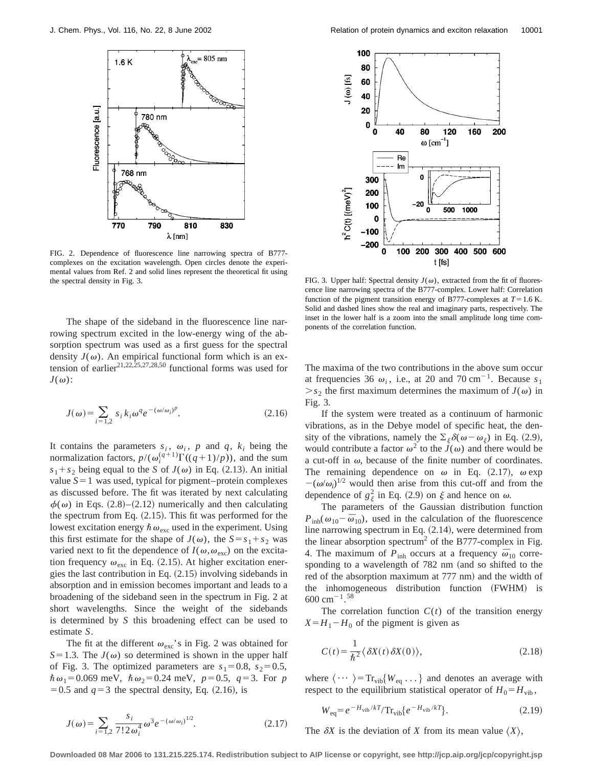

FIG. 2. Dependence of fluorescence line narrowing spectra of B777 complexes on the excitation wavelength. Open circles denote the experimental values from Ref. 2 and solid lines represent the theoretical fit using the spectral density in Fig. 3. FIG. 3. Upper half: Spectral density  $J(\omega)$ , extracted from the fit of fluores-

The shape of the sideband in the fluorescence line narrowing spectrum excited in the low-energy wing of the absorption spectrum was used as a first guess for the spectral density  $J(\omega)$ . An empirical functional form which is an extension of earlier<sup>21,22,25,27,28,50</sup> functional forms was used for  $J(\omega)$ :

$$
J(\omega) = \sum_{i=1,2} s_i k_i \omega^q e^{-(\omega/\omega_i)^p}.
$$
 (2.16)

It contains the parameters  $s_i$ ,  $\omega_i$ , p and q,  $k_i$  being the normalization factors,  $p/(\omega_i^{(q+1)}\Gamma((q+1)/p))$ , and the sum  $s_1 + s_2$  being equal to the *S* of  $J(\omega)$  in Eq. (2.13). An initial value  $S=1$  was used, typical for pigment–protein complexes as discussed before. The fit was iterated by next calculating  $\phi(\omega)$  in Eqs. (2.8)–(2.12) numerically and then calculating the spectrum from Eq.  $(2.15)$ . This fit was performed for the lowest excitation energy  $\hbar \omega_{\text{exc}}$  used in the experiment. Using this first estimate for the shape of  $J(\omega)$ , the  $S = s_1 + s_2$  was varied next to fit the dependence of  $I(\omega,\omega_{\text{exc}})$  on the excitation frequency  $\omega_{\text{exc}}$  in Eq. (2.15). At higher excitation energies the last contribution in Eq.  $(2.15)$  involving sidebands in absorption and in emission becomes important and leads to a broadening of the sideband seen in the spectrum in Fig. 2 at short wavelengths. Since the weight of the sidebands is determined by *S* this broadening effect can be used to estimate *S*.

The fit at the different  $\omega_{\text{exc}}$ 's in Fig. 2 was obtained for  $S=1.3$ . The *J*( $\omega$ ) so determined is shown in the upper half of Fig. 3. The optimized parameters are  $s_1=0.8$ ,  $s_2=0.5$ ,  $\hbar \omega_1 = 0.069$  meV,  $\hbar \omega_2 = 0.24$  meV,  $p = 0.5$ ,  $q = 3$ . For *p*  $=0.5$  and  $q=3$  the spectral density, Eq.  $(2.16)$ , is



cence line narrowing spectra of the B777-complex. Lower half: Correlation function of the pigment transition energy of B777-complexes at  $T=1.6$  K. Solid and dashed lines show the real and imaginary parts, respectively. The inset in the lower half is a zoom into the small amplitude long time components of the correlation function.

The maxima of the two contributions in the above sum occur at frequencies 36  $\omega_i$ , i.e., at 20 and 70 cm<sup>-1</sup>. Because  $s_1$  $>s_2$  the first maximum determines the maximum of  $J(\omega)$  in Fig. 3.

If the system were treated as a continuum of harmonic vibrations, as in the Debye model of specific heat, the density of the vibrations, namely the  $\Sigma_{\xi}\delta(\omega-\omega_{\xi})$  in Eq. (2.9), would contribute a factor  $\omega^2$  to the  $J(\omega)$  and there would be a cut-off in  $\omega$ , because of the finite number of coordinates. The remaining dependence on  $\omega$  in Eq. (2.17),  $\omega$  exp  $-(\omega/\omega_i)^{1/2}$  would then arise from this cut-off and from the dependence of  $g_{\xi}^{2}$  in Eq. (2.9) on  $\xi$  and hence on  $\omega$ .

The parameters of the Gaussian distribution function  $P_{\text{inh}}(\omega_{10}-\bar{\omega}_{10})$ , used in the calculation of the fluorescence line narrowing spectrum in Eq.  $(2.14)$ , were determined from the linear absorption spectrum<sup>2</sup> of the B777-complex in Fig. 4. The maximum of  $P_{\text{inh}}$  occurs at a frequency  $\bar{\omega}_{10}$  corresponding to a wavelength of 782 nm (and so shifted to the red of the absorption maximum at 777 nm) and the width of the inhomogeneous distribution function (FWHM) is  $600 \text{ cm}^{-1}$ .<sup>58</sup>

The correlation function  $C(t)$  of the transition energy  $X = H_1 - H_0$  of the pigment is given as

$$
C(t) = \frac{1}{\hbar^2} \langle \delta X(t) \delta X(0) \rangle, \tag{2.18}
$$

where  $\langle \cdots \rangle = \text{Tr}_{vib} \{W_{eq} \dots \}$  and denotes an average with respect to the equilibrium statistical operator of  $H_0 = H_{\text{vib}}$ ,

$$
W_{\text{eq}} = e^{-H_{\text{vib}}/kT} / \text{Tr}_{\text{vib}} \{ e^{-H_{\text{vib}}/kT} \}. \tag{2.19}
$$

The  $\delta X$  is the deviation of *X* from its mean value  $\langle X \rangle$ ,

**Downloaded 08 Mar 2006 to 131.215.225.174. Redistribution subject to AIP license or copyright, see http://jcp.aip.org/jcp/copyright.jsp**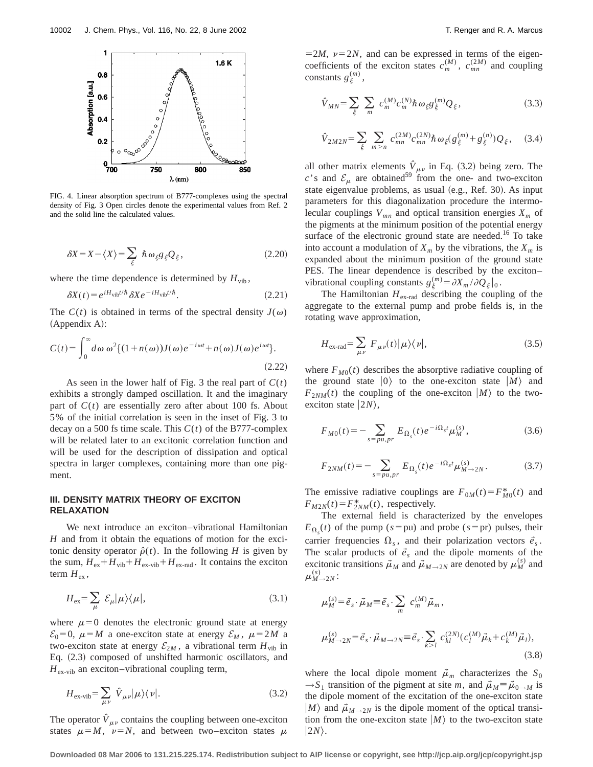

FIG. 4. Linear absorption spectrum of B777-complexes using the spectral density of Fig. 3 Open circles denote the experimental values from Ref. 2 and the solid line the calculated values.

$$
\delta X = X - \langle X \rangle = \sum_{\xi} \hbar \omega_{\xi} g_{\xi} Q_{\xi}, \qquad (2.20)
$$

where the time dependence is determined by  $H_{\text{vib}}$ ,

$$
\delta X(t) = e^{iH_{\text{vib}}t/\hbar} \delta X e^{-iH_{\text{vib}}t/\hbar}.
$$
\n(2.21)

The  $C(t)$  is obtained in terms of the spectral density  $J(\omega)$  $(A$ ppendix  $A$ :

$$
C(t) = \int_0^\infty d\omega \, \omega^2 \{ (1 + n(\omega)) J(\omega) e^{-i\omega t} + n(\omega) J(\omega) e^{i\omega t} \}.
$$
\n(2.22)

As seen in the lower half of Fig. 3 the real part of  $C(t)$ exhibits a strongly damped oscillation. It and the imaginary part of  $C(t)$  are essentially zero after about 100 fs. About 5% of the initial correlation is seen in the inset of Fig. 3 to decay on a 500 fs time scale. This *C*(*t*) of the B777-complex will be related later to an excitonic correlation function and will be used for the description of dissipation and optical spectra in larger complexes, containing more than one pigment.

# **III. DENSITY MATRIX THEORY OF EXCITON RELAXATION**

We next introduce an exciton–vibrational Hamiltonian *H* and from it obtain the equations of motion for the excitonic density operator  $\hat{\rho}(t)$ . In the following *H* is given by the sum,  $H_{ex} + H_{vib} + H_{ex-vib} + H_{ex-rad}$ . It contains the exciton term  $H_{\text{ex}}$ ,

$$
H_{\rm ex} = \sum_{\mu} \mathcal{E}_{\mu} | \mu \rangle \langle \mu |, \tag{3.1}
$$

where  $\mu=0$  denotes the electronic ground state at energy  $\mathcal{E}_0=0$ ,  $\mu=M$  a one-exciton state at energy  $\mathcal{E}_M$ ,  $\mu=2M$  a two-exciton state at energy  $\mathcal{E}_{2M}$ , a vibrational term  $H_{\text{vib}}$  in Eq. (2.3) composed of unshifted harmonic oscillators, and  $H_{\text{ex-vib}}$  an exciton–vibrational coupling term,

$$
H_{\text{ex-vib}} = \sum_{\mu\nu} \hat{V}_{\mu\nu} |\mu\rangle\langle\nu|.
$$
 (3.2)

The operator  $\hat{V}_{\mu\nu}$  contains the coupling between one-exciton states  $\mu = M$ ,  $\nu = N$ , and between two–exciton states  $\mu$ 

 $=2M$ ,  $\nu=2N$ , and can be expressed in terms of the eigencoefficients of the exciton states  $c_m^{(M)}$ ,  $c_{mn}^{(2M)}$  and coupling constants  $g_{\xi}^{(m)}$ ,

$$
\hat{V}_{MN} = \sum_{\xi} \sum_{m} c_m^{(M)} c_m^{(N)} \hbar \omega_{\xi} g_{\xi}^{(m)} Q_{\xi}, \qquad (3.3)
$$

$$
\hat{V}_{2M2N} = \sum_{\xi} \sum_{m>n} c_{mn}^{(2M)} c_{mn}^{(2N)} \hbar \omega_{\xi} (g_{\xi}^{(m)} + g_{\xi}^{(n)}) Q_{\xi}, \quad (3.4)
$$

all other matrix elements  $\hat{V}_{\mu\nu}$  in Eq. (3.2) being zero. The *c*'s and  $\mathcal{E}_n$  are obtained<sup>59</sup> from the one- and two-exciton state eigenvalue problems, as usual (e.g., Ref. 30). As input parameters for this diagonalization procedure the intermolecular couplings  $V_{mn}$  and optical transition energies  $X_m$  of the pigments at the minimum position of the potential energy surface of the electronic ground state are needed.<sup>16</sup> To take into account a modulation of  $X_m$  by the vibrations, the  $X_m$  is expanded about the minimum position of the ground state PES. The linear dependence is described by the exciton– vibrational coupling constants  $g_{\xi}^{(m)} = \partial X_m / \partial Q_{\xi}|_0$ .

The Hamiltonian  $H_{\text{ex-rad}}$  describing the coupling of the aggregate to the external pump and probe fields is, in the rotating wave approximation,

$$
H_{\text{ex-rad}} = \sum_{\mu\nu} F_{\mu\nu}(t) |\mu\rangle\langle\nu|,\tag{3.5}
$$

where  $F_{M0}(t)$  describes the absorptive radiative coupling of the ground state  $|0\rangle$  to the one-exciton state  $|M\rangle$  and  $F_{2NM}(t)$  the coupling of the one-exciton  $|M\rangle$  to the twoexciton state  $|2N\rangle$ ,

$$
F_{M0}(t) = -\sum_{s = pu, pr} E_{\Omega_s}(t) e^{-i\Omega_s t} \mu_M^{(s)},
$$
\n(3.6)

$$
F_{2NM}(t) = -\sum_{s = pu, pr} E_{\Omega_s}(t) e^{-i\Omega_s t} \mu_{M \to 2N}^{(s)}.
$$
 (3.7)

The emissive radiative couplings are  $F_{0M}(t) = F_{M0}^{*}(t)$  and  $F_{M2N}(t) = F_{2NM}^*(t)$ , respectively.

The external field is characterized by the envelopes  $E_{\Omega_s}(t)$  of the pump (*s* = pu) and probe (*s* = pr) pulses, their carrier frequencies  $\Omega_s$ , and their polarization vectors  $\vec{e}_s$ . The scalar products of  $\vec{e}_s$  and the dipole moments of the excitonic transitions  $\vec{\mu}_M$  and  $\vec{\mu}_{M \to 2N}$  are denoted by  $\mu_M^{(s)}$  and  $\mu_{M\rightarrow 2N}^{(s)}$ :

$$
\mu_M^{(s)} = \vec{e}_s \cdot \vec{\mu}_M \equiv \vec{e}_s \cdot \sum_m c_m^{(M)} \vec{\mu}_m,
$$
  

$$
\mu_{M \to 2N}^{(s)} = \vec{e}_s \cdot \vec{\mu}_{M \to 2N} \equiv \vec{e}_s \cdot \sum_{k > l} c_{kl}^{(2N)} (c_l^{(M)} \vec{\mu}_k + c_k^{(M)} \vec{\mu}_l),
$$
  
(3.8)

where the local dipole moment  $\vec{\mu}_m$  characterizes the  $S_0$  $\rightarrow$  *S*<sub>1</sub> transition of the pigment at site *m*, and  $\vec{\mu}_M \equiv \vec{\mu}_{0 \rightarrow M}$  is the dipole moment of the excitation of the one-exciton state  $\vert M\rangle$  and  $\vec{\mu}_{M\rightarrow 2N}$  is the dipole moment of the optical transition from the one-exciton state  $|M\rangle$  to the two-exciton state  $|2N\rangle$ .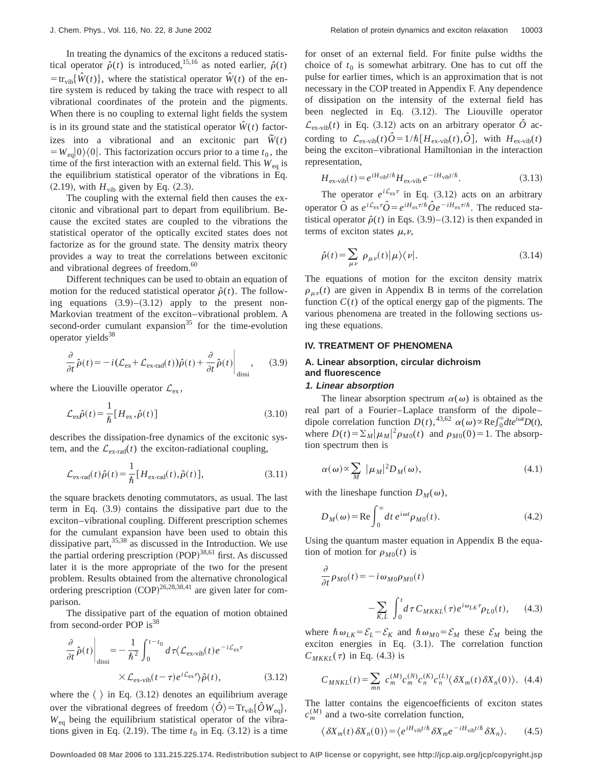In treating the dynamics of the excitons a reduced statistical operator  $\hat{\rho}(t)$  is introduced,<sup>15,16</sup> as noted earlier,  $\hat{\rho}(t)$  $=$ tr<sub>vib</sub>{ $\hat{W}(t)$ }, where the statistical operator  $\hat{W}(t)$  of the entire system is reduced by taking the trace with respect to all vibrational coordinates of the protein and the pigments. When there is no coupling to external light fields the system is in its ground state and the statistical operator  $\hat{W}(t)$  factorizes into a vibrational and an excitonic part  $\tilde{W}(t)$  $= W_{\text{eq}} |0\rangle\langle 0|$ . This factorization occurs prior to a time  $t_0$ , the time of the first interaction with an external field. This  $W_{eq}$  is the equilibrium statistical operator of the vibrations in Eq.  $(2.19)$ , with  $H_{\text{vib}}$  given by Eq.  $(2.3)$ .

The coupling with the external field then causes the excitonic and vibrational part to depart from equilibrium. Because the excited states are coupled to the vibrations the statistical operator of the optically excited states does not factorize as for the ground state. The density matrix theory provides a way to treat the correlations between excitonic and vibrational degrees of freedom.<sup>60</sup>

Different techniques can be used to obtain an equation of motion for the reduced statistical operator  $\hat{\rho}(t)$ . The following equations  $(3.9)$ – $(3.12)$  apply to the present non-Markovian treatment of the exciton–vibrational problem. A second-order cumulant expansion<sup>35</sup> for the time-evolution operator vields $38$ 

$$
\frac{\partial}{\partial t}\hat{\rho}(t) = -i(\mathcal{L}_{\text{ex}} + \mathcal{L}_{\text{ex-rad}}(t))\hat{\rho}(t) + \frac{\partial}{\partial t}\hat{\rho}(t)\Big|_{\text{dissi}},\qquad(3.9)
$$

where the Liouville operator  $\mathcal{L}_{ex}$ ,

$$
\mathcal{L}_{\text{ex}}\hat{\rho}(t) = \frac{1}{\hbar} \big[ H_{\text{ex}}, \hat{\rho}(t) \big] \tag{3.10}
$$

describes the dissipation-free dynamics of the excitonic system, and the  $\mathcal{L}_{\text{ex-rad}}(t)$  the exciton-radiational coupling,

$$
\mathcal{L}_{\text{ex-rad}}(t)\hat{\rho}(t) = \frac{1}{\hbar} [H_{\text{ex-rad}}(t), \hat{\rho}(t)],
$$
\n(3.11)

the square brackets denoting commutators, as usual. The last term in Eq.  $(3.9)$  contains the dissipative part due to the exciton–vibrational coupling. Different prescription schemes for the cumulant expansion have been used to obtain this dissipative part,  $35,38$  as discussed in the Introduction. We use the partial ordering prescription (POP)<sup>38,61</sup> first. As discussed later it is the more appropriate of the two for the present problem. Results obtained from the alternative chronological ordering prescription  $(COP)^{26,28,38,41}$  are given later for comparison.

The dissipative part of the equation of motion obtained from second-order POP  $is^{38}$ 

$$
\frac{\partial}{\partial t}\hat{\rho}(t)\Big|_{\text{dissi}} = -\frac{1}{\hbar^2} \int_0^{t-t_0} d\tau \langle \mathcal{L}_{\text{ex-vib}}(t) e^{-i\mathcal{L}_{\text{ex}}\tau} \times \mathcal{L}_{\text{ex-vib}}(t-\tau) e^{i\mathcal{L}_{\text{ex}}\tau} \hat{\rho}(t), \tag{3.12}
$$

where the  $\langle \rangle$  in Eq. (3.12) denotes an equilibrium average over the vibrational degrees of freedom  $\langle \hat{O} \rangle = \text{Tr}_{vib} \{ \hat{O} W_{eg} \},\$ *W*eq being the equilibrium statistical operator of the vibrations given in Eq.  $(2.19)$ . The time  $t_0$  in Eq.  $(3.12)$  is a time for onset of an external field. For finite pulse widths the choice of  $t_0$  is somewhat arbitrary. One has to cut off the pulse for earlier times, which is an approximation that is not necessary in the COP treated in Appendix F. Any dependence of dissipation on the intensity of the external field has been neglected in Eq.  $(3.12)$ . The Liouville operator  $\mathcal{L}_{\text{ex-vib}}(t)$  in Eq. (3.12) acts on an arbitrary operator  $\hat{O}$  according to  $\mathcal{L}_{ex-vib}(t)\hat{O} = 1/\hbar[H_{ex-vib}(t),\hat{O}]$ , with  $H_{ex-vib}(t)$ being the exciton–vibrational Hamiltonian in the interaction representation,

$$
H_{\text{ex-vib}}(t) = e^{iH_{\text{vib}}t/\hbar}H_{\text{ex-vib}}e^{-iH_{\text{vib}}t/\hbar}.
$$
\n(3.13)

The operator  $e^{i\mathcal{L}_{ex}\tau}$  in Eq. (3.12) acts on an arbitrary operator  $\hat{O}$  as  $e^{i\mathcal{L}_{ex}\tau}\hat{O}=e^{iH_{ex}\tau/\hbar}\hat{O}e^{-iH_{ex}\tau/\hbar}$ . The reduced statistical operator  $\hat{\rho}(t)$  in Eqs.  $(3.9)$ – $(3.12)$  is then expanded in terms of exciton states  $\mu, \nu$ ,

$$
\hat{\rho}(t) = \sum_{\mu\nu} \rho_{\mu\nu}(t) |\mu\rangle\langle\nu|.
$$
\n(3.14)

The equations of motion for the exciton density matrix  $\rho_{\mu\nu}(t)$  are given in Appendix B in terms of the correlation function  $C(t)$  of the optical energy gap of the pigments. The various phenomena are treated in the following sections using these equations.

#### **IV. TREATMENT OF PHENOMENA**

# **A. Linear absorption, circular dichroism and fluorescence**

#### **1. Linear absorption**

The linear absorption spectrum  $\alpha(\omega)$  is obtained as the real part of a Fourier–Laplace transform of the dipole– dipole correlation function  $D(t)$ ,<sup>43,62</sup>  $\alpha(\omega) \propto \text{Re} \int_0^\infty dt e^{i\omega t} D(t)$ , where  $D(t) = \sum_M |\mu_M|^2 \rho_{M0}(t)$  and  $\rho_{M0}(0) = 1$ . The absorption spectrum then is

$$
\alpha(\omega) \propto \sum_{M} |\mu_{M}|^2 D_M(\omega), \tag{4.1}
$$

with the lineshape function  $D_M(\omega)$ ,

$$
D_M(\omega) = \text{Re}\int_0^\infty dt \, e^{i\omega t} \rho_{M0}(t). \tag{4.2}
$$

Using the quantum master equation in Appendix B the equation of motion for  $\rho_{M0}(t)$  is

$$
\frac{\partial}{\partial t} \rho_{M0}(t) = -i \omega_{M0} \rho_{M0}(t)
$$

$$
- \sum_{K,L} \int_0^t d\tau C_{MKKL}(\tau) e^{i\omega_{LK}\tau} \rho_{L0}(t), \qquad (4.3)
$$

where  $\hbar \omega_{LK} = \mathcal{E}_L - \mathcal{E}_K$  and  $\hbar \omega_{M0} = \mathcal{E}_M$  these  $\mathcal{E}_M$  being the exciton energies in Eq.  $(3.1)$ . The correlation function  $C_{MKKL}(\tau)$  in Eq. (4.3) is

$$
C_{MNKL}(t) = \sum_{mn} c_m^{(M)} c_m^{(N)} c_n^{(K)} c_n^{(L)} \langle \delta X_m(t) \delta X_n(0) \rangle.
$$
 (4.4)

The latter contains the eigencoefficients of exciton states  $c_m^{(M)}$  and a two-site correlation function,

$$
\langle \delta X_m(t) \delta X_n(0) \rangle = \langle e^{iH_{\text{vib}}t/\hbar} \delta X_m e^{-iH_{\text{vib}}t/\hbar} \delta X_n \rangle. \tag{4.5}
$$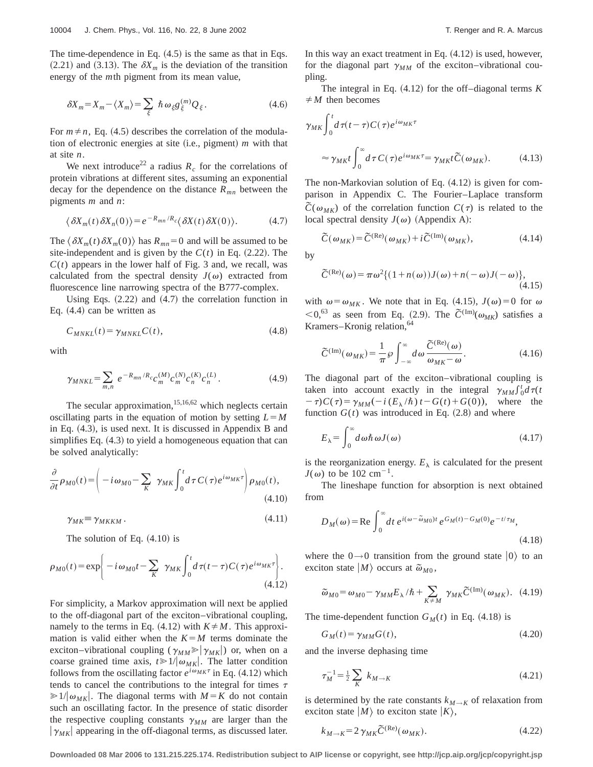The time-dependence in Eq.  $(4.5)$  is the same as that in Eqs.  $(2.21)$  and  $(3.13)$ . The  $\delta X_m$  is the deviation of the transition energy of the *m*th pigment from its mean value,

$$
\delta X_m = X_m - \langle X_m \rangle = \sum_{\xi} \hbar \omega_{\xi} g_{\xi}^{(m)} Q_{\xi}.
$$
 (4.6)

For  $m \neq n$ , Eq. (4.5) describes the correlation of the modulation of electronic energies at site  $(i.e., pigment)$  *m* with that at site *n*.

We next introduce<sup>22</sup> a radius  $R_c$  for the correlations of protein vibrations at different sites, assuming an exponential decay for the dependence on the distance  $R_{mn}$  between the pigments *m* and *n*:

$$
\langle \delta X_m(t) \, \delta X_n(0) \rangle = e^{-R_{mn}/R_c} \langle \delta X(t) \, \delta X(0) \rangle. \tag{4.7}
$$

The  $\langle \delta X_m(t) \delta X_m(0) \rangle$  has  $R_{mn} = 0$  and will be assumed to be site-independent and is given by the  $C(t)$  in Eq.  $(2.22)$ . The  $C(t)$  appears in the lower half of Fig. 3 and, we recall, was calculated from the spectral density  $J(\omega)$  extracted from fluorescence line narrowing spectra of the B777-complex.

Using Eqs.  $(2.22)$  and  $(4.7)$  the correlation function in Eq.  $(4.4)$  can be written as

$$
C_{MNKL}(t) = \gamma_{MNKL} C(t), \qquad (4.8)
$$

with

$$
\gamma_{MNKL} = \sum_{m,n} e^{-R_{mn}/R_c} c_m^{(M)} c_m^{(N)} c_n^{(K)} c_n^{(L)}.
$$
 (4.9)

The secular approximation, $15,16,62$  which neglects certain oscillating parts in the equation of motion by setting  $L = M$ in Eq.  $(4.3)$ , is used next. It is discussed in Appendix B and simplifies Eq.  $(4.3)$  to yield a homogeneous equation that can be solved analytically:

$$
\frac{\partial}{\partial t} \rho_{M0}(t) = \left( -i\omega_{M0} - \sum_{K} \gamma_{MK} \int_{0}^{t} d\tau C(\tau) e^{i\omega_{MK}\tau} \right) \rho_{M0}(t),
$$
\n(4.10)

$$
\gamma_{MK} \equiv \gamma_{MKKM} \,. \tag{4.11}
$$

The solution of Eq.  $(4.10)$  is

$$
\rho_{M0}(t) = \exp\bigg\{-i\omega_{M0}t - \sum_{K} \gamma_{MK} \int_{0}^{t} d\tau(t-\tau) C(\tau) e^{i\omega_{MK}\tau} \bigg\}.
$$
\n(4.12)

For simplicity, a Markov approximation will next be applied to the off-diagonal part of the exciton–vibrational coupling, namely to the terms in Eq.  $(4.12)$  with  $K \neq M$ . This approximation is valid either when the  $K = M$  terms dominate the exciton–vibrational coupling  $(\gamma_{MM} \ge |\gamma_{MK}|)$  or, when on a coarse grained time axis,  $t \ge 1/|\omega_{MK}|$ . The latter condition follows from the oscillating factor  $e^{i\omega_{MK} \tau}$  in Eq. (4.12) which tends to cancel the contributions to the integral for times  $\tau$  $\gg 1/\vert \omega_{MK} \vert$ . The diagonal terms with  $M = K$  do not contain such an oscillating factor. In the presence of static disorder the respective coupling constants  $\gamma_{MM}$  are larger than the  $|\gamma_{MK}|$  appearing in the off-diagonal terms, as discussed later. In this way an exact treatment in Eq.  $(4.12)$  is used, however, for the diagonal part  $\gamma_{MM}$  of the exciton–vibrational coupling.

The integral in Eq.  $(4.12)$  for the off–diagonal terms *K*  $\neq M$  then becomes

$$
\gamma_{MK} \int_0^t d\tau (t-\tau) C(\tau) e^{i\omega_{MK}\tau}
$$
  

$$
\approx \gamma_{MK} t \int_0^\infty d\tau C(\tau) e^{i\omega_{MK}\tau} = \gamma_{MK} t \tilde{C}(\omega_{MK}). \tag{4.13}
$$

The non-Markovian solution of Eq.  $(4.12)$  is given for comparison in Appendix C. The Fourier–Laplace transform  $\tilde{C}(\omega_{MK})$  of the correlation function  $C(\tau)$  is related to the local spectral density  $J(\omega)$  (Appendix A):

$$
\widetilde{C}(\omega_{MK}) = \widetilde{C}^{(\text{Re})}(\omega_{MK}) + i \widetilde{C}^{(\text{Im})}(\omega_{MK}), \tag{4.14}
$$

by

$$
\widetilde{C}^{(\text{Re})}(\omega) = \pi \omega^2 \{ (1 + n(\omega)) J(\omega) + n(-\omega) J(-\omega) \},
$$
\n(4.15)

with  $\omega = \omega_{MK}$ . We note that in Eq. (4.15),  $J(\omega) = 0$  for  $\omega$  $<$ 0,<sup>63</sup> as seen from Eq. (2.9). The  $\tilde{C}^{(Im)}(\omega_{MK})$  satisfies a Kramers–Kronig relation, 64

$$
\widetilde{C}^{(\mathrm{Im})}(\omega_{MK}) = \frac{1}{\pi} \wp \int_{-\infty}^{\infty} d\omega \, \frac{\widetilde{C}^{(\mathrm{Re})}(\omega)}{\omega_{MK} - \omega}.\tag{4.16}
$$

The diagonal part of the exciton–vibrational coupling is taken into account exactly in the integral  $\gamma_{MM} \int_0^t d\tau(t)$  $-\tau$ ) $C(\tau) = \gamma_{MM}(-i(E_{\lambda}/\hbar)t - G(t) + G(0)),$  where the function  $G(t)$  was introduced in Eq.  $(2.8)$  and where

$$
E_{\lambda} = \int_{0}^{\infty} d\omega \hbar \,\omega J(\omega) \tag{4.17}
$$

is the reorganization energy.  $E_{\lambda}$  is calculated for the present  $J(\omega)$  to be 102 cm<sup>-1</sup>.

The lineshape function for absorption is next obtained from

$$
D_M(\omega) = \text{Re} \int_0^\infty dt \, e^{i(\omega - \tilde{\omega}_{M0})t} \, e^{G_M(t) - G_M(0)} e^{-t/\tau_M},\tag{4.18}
$$

where the  $0\rightarrow 0$  transition from the ground state  $|0\rangle$  to an exciton state  $|M\rangle$  occurs at  $\tilde{\omega}_{M0}$ ,

$$
\widetilde{\omega}_{M0} = \omega_{M0} - \gamma_{MM} E_{\lambda} / \hbar + \sum_{K \neq M} \gamma_{MK} \widetilde{C}^{(\text{Im})}(\omega_{MK}). \tag{4.19}
$$

The time-dependent function  $G_M(t)$  in Eq. (4.18) is

$$
G_M(t) = \gamma_{MM} G(t), \qquad (4.20)
$$

and the inverse dephasing time

$$
\tau_M^{-1} = \frac{1}{2} \sum_K k_{M \to K} \tag{4.21}
$$

is determined by the rate constants  $k_{M\to K}$  of relaxation from exciton state  $|M\rangle$  to exciton state  $|K\rangle$ ,

$$
k_{M \to K} = 2 \gamma_{MK} \widetilde{C}^{(\text{Re})}(\omega_{MK}). \tag{4.22}
$$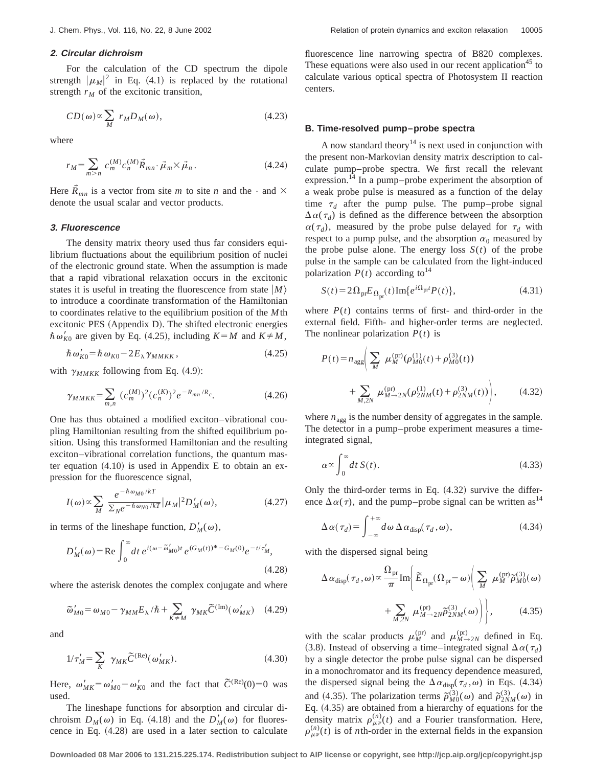#### **2. Circular dichroism**

For the calculation of the CD spectrum the dipole strength  $|\mu_M|^2$  in Eq. (4.1) is replaced by the rotational strength  $r_M$  of the excitonic transition,

$$
CD(\omega) \propto \sum_{M} r_M D_M(\omega), \qquad (4.23)
$$

where

$$
r_M = \sum_{m \ge n} c_m^{(M)} c_n^{(M)} \vec{R}_{mn} \cdot \vec{\mu}_m \times \vec{\mu}_n . \tag{4.24}
$$

Here  $\tilde{R}_{mn}$  is a vector from site *m* to site *n* and the  $\cdot$  and  $\times$ denote the usual scalar and vector products.

#### **3. Fluorescence**

The density matrix theory used thus far considers equilibrium fluctuations about the equilibrium position of nuclei of the electronic ground state. When the assumption is made that a rapid vibrational relaxation occurs in the excitonic states it is useful in treating the fluorescence from state  $|M\rangle$ to introduce a coordinate transformation of the Hamiltonian to coordinates relative to the equilibrium position of the *M*th excitonic PES (Appendix D). The shifted electronic energies  $\hbar \omega'_{K0}$  are given by Eq. (4.25), including  $K=M$  and  $K \neq M$ ,

$$
\hbar \,\omega'_{K0} = \hbar \,\omega_{K0} - 2E_{\lambda} \,\gamma_{MMKK},\tag{4.25}
$$

with  $\gamma_{MMKK}$  following from Eq. (4.9):

$$
\gamma_{MMKK} = \sum_{m,n} (c_m^{(M)})^2 (c_n^{(K)})^2 e^{-R_{mn}/R_c}.
$$
 (4.26)

One has thus obtained a modified exciton–vibrational coupling Hamiltonian resulting from the shifted equilibrium position. Using this transformed Hamiltonian and the resulting exciton–vibrational correlation functions, the quantum master equation  $(4.10)$  is used in Appendix E to obtain an expression for the fluorescence signal,

$$
I(\omega) \propto \sum_{M} \frac{e^{-\hbar \omega_{M0}/kT}}{\Sigma_N e^{-\hbar \omega_{N0}/kT}} |\mu_M|^2 D'_M(\omega), \tag{4.27}
$$

in terms of the lineshape function,  $D'_M(\omega)$ ,

$$
D'_{M}(\omega) = \text{Re} \int_0^{\infty} dt \, e^{i(\omega - \tilde{\omega}'_{M0})t} \, e^{(G_M(t))^* - G_M(0)} e^{-t/\tau'_M},\tag{4.28}
$$

where the asterisk denotes the complex conjugate and where

$$
\tilde{\omega}_{M0}^{\prime} = \omega_{M0} - \gamma_{MM} E_{\lambda} / \hbar + \sum_{K \neq M} \gamma_{MK} \tilde{C}^{(\text{Im})}(\omega_{MK}^{\prime}) \quad (4.29)
$$

and

$$
1/\tau'_M = \sum_K \gamma_{MK} \widetilde{C}^{(Re)}(\omega'_{MK}). \tag{4.30}
$$

Here,  $\omega'_{MK} = \omega'_{M0} - \omega'_{K0}$  and the fact that  $\tilde{C}^{(Re)}(0) = 0$  was used.

The lineshape functions for absorption and circular dichroism  $D_M(\omega)$  in Eq. (4.18) and the  $D'_M(\omega)$  for fluorescence in Eq.  $(4.28)$  are used in a later section to calculate fluorescence line narrowing spectra of B820 complexes. These equations were also used in our recent application<sup>45</sup> to calculate various optical spectra of Photosystem II reaction centers.

#### **B. Time-resolved pump–probe spectra**

A now standard theory<sup>14</sup> is next used in conjunction with the present non-Markovian density matrix description to calculate pump–probe spectra. We first recall the relevant expression.<sup>14</sup> In a pump–probe experiment the absorption of a weak probe pulse is measured as a function of the delay time  $\tau_d$  after the pump pulse. The pump–probe signal  $\Delta \alpha(\tau_d)$  is defined as the difference between the absorption  $\alpha(\tau_d)$ , measured by the probe pulse delayed for  $\tau_d$  with respect to a pump pulse, and the absorption  $\alpha_0$  measured by the probe pulse alone. The energy loss  $S(t)$  of the probe pulse in the sample can be calculated from the light-induced polarization  $P(t)$  according to<sup>14</sup>

$$
S(t) = 2\Omega_{\text{pr}} E_{\Omega_{\text{pr}}}(t) \text{Im}\{e^{i\Omega_{\text{pr}}t} P(t)\},\tag{4.31}
$$

where  $P(t)$  contains terms of first- and third-order in the external field. Fifth- and higher-order terms are neglected. The nonlinear polarization *P*(*t*) is

$$
P(t) = n_{\text{agg}} \left( \sum_{M} \mu_M^{(\text{pr})} (\rho_{M0}^{(1)}(t) + \rho_{M0}^{(3)}(t)) + \sum_{M,2N} \mu_{M \to 2N}^{(\text{pr})} (\rho_{2NM}^{(1)}(t) + \rho_{2NM}^{(3)}(t)) \right), \tag{4.32}
$$

where  $n_{\text{age}}$  is the number density of aggregates in the sample. The detector in a pump–probe experiment measures a timeintegrated signal,

$$
\alpha \propto \int_0^\infty dt \, S(t). \tag{4.33}
$$

Only the third-order terms in Eq.  $(4.32)$  survive the difference  $\Delta \alpha(\tau)$ , and the pump–probe signal can be written as<sup>14</sup>

$$
\Delta \alpha(\tau_d) = \int_{-\infty}^{+\infty} d\omega \, \Delta \alpha_{\text{disp}}(\tau_d, \omega), \tag{4.34}
$$

with the dispersed signal being

$$
\Delta \alpha_{\rm disp}(\tau_d, \omega) \propto \frac{\Omega_{\rm pr}}{\pi} \text{Im} \left\{ \tilde{E}_{\Omega_{\rm pr}}(\Omega_{\rm pr} - \omega) \left( \sum_M \mu_M^{(\rm pr)} \tilde{\rho}_{M0}^{(3)}(\omega) + \sum_{M, 2N} \mu_{M \to 2N}^{(\rm pr)} \tilde{\rho}_{2NM}^{(3)}(\omega) \right) \right\},
$$
(4.35)

with the scalar products  $\mu_M^{\text{(pr)}}$  and  $\mu_{M\rightarrow 2N}^{\text{(pr)}}$  defined in Eq. (3.8). Instead of observing a time–integrated signal  $\Delta \alpha(\tau_d)$ by a single detector the probe pulse signal can be dispersed in a monochromator and its frequency dependence measured, the dispersed signal being the  $\Delta \alpha_{\text{disp}}(\tau_d, \omega)$  in Eqs. (4.34) and (4.35). The polarization terms  $\tilde{\rho}_{M0}^{(3)}(\omega)$  and  $\tilde{\rho}_{2NM}^{(3)}(\omega)$  in Eq.  $(4.35)$  are obtained from a hierarchy of equations for the density matrix  $\rho_{\mu\nu}^{(n)}(t)$  and a Fourier transformation. Here,  $\rho_{\mu\nu}^{(n)}(t)$  is of *n*th-order in the external fields in the expansion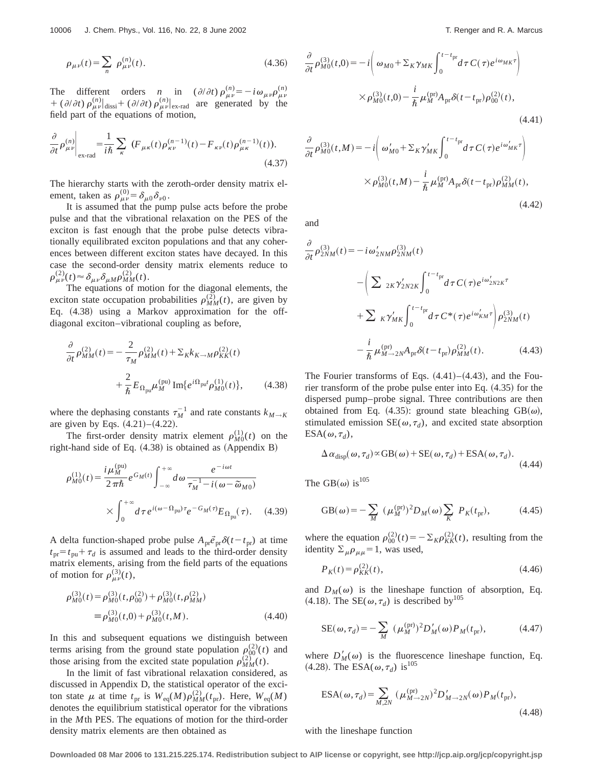$$
\rho_{\mu\nu}(t) = \sum_{n} \ \rho_{\mu\nu}^{(n)}(t). \tag{4.36}
$$

The different orders *n* in  $\left(\frac{\partial}{\partial t}\right) \rho_{\mu\nu}^{(n)} = -i \omega_{\mu\nu} \rho_{\mu\nu}^{(n)}$ + ( $\partial/\partial t$ )  $\rho_{\mu\nu}^{(n)}|_{\text{dissi}} + (\partial/\partial t) \rho_{\mu\nu}^{(n)}|_{\text{ex-rad}}$  are generated by the field part of the equations of motion,

$$
\frac{\partial}{\partial t} \rho_{\mu\nu}^{(n)} \bigg|_{\text{ex-rad}} = \frac{1}{i\hbar} \sum_{\kappa} \left( F_{\mu\kappa}(t) \rho_{\kappa\nu}^{(n-1)}(t) - F_{\kappa\nu}(t) \rho_{\mu\kappa}^{(n-1)}(t) \right). \tag{4.37}
$$

The hierarchy starts with the zeroth-order density matrix element, taken as  $\rho_{\mu\nu}^{(0)} = \delta_{\mu 0} \delta_{\nu 0}$ .

It is assumed that the pump pulse acts before the probe pulse and that the vibrational relaxation on the PES of the exciton is fast enough that the probe pulse detects vibrationally equilibrated exciton populations and that any coherences between different exciton states have decayed. In this case the second-order density matrix elements reduce to  $\rho_{\mu\nu}^{(2)}(t) \approx \delta_{\mu\nu} \delta_{\mu M} \rho_{MM}^{(2)}(t).$ 

The equations of motion for the diagonal elements, the exciton state occupation probabilities  $\rho_{MM}^{(2)}(t)$ , are given by Eq.  $(4.38)$  using a Markov approximation for the offdiagonal exciton–vibrational coupling as before,

$$
\frac{\partial}{\partial t} \rho_{MM}^{(2)}(t) = -\frac{2}{\tau_M} \rho_{MM}^{(2)}(t) + \Sigma_K k_{K \to M} \rho_{KK}^{(2)}(t) \n+ \frac{2}{\hbar} E_{\Omega_{\text{pu}}} \mu_M^{(\text{pu})} \text{Im}\{e^{i\Omega_{\text{pu}}t} \rho_{M0}^{(1)}(t)\},
$$
\n(4.38)

where the dephasing constants  $\tau_M^{-1}$  and rate constants  $k_{M\to K}$ are given by Eqs.  $(4.21)–(4.22)$ .

The first-order density matrix element  $\rho_{M0}^{(1)}(t)$  on the right-hand side of Eq.  $(4.38)$  is obtained as  $(Appendix B)$ 

$$
\rho_{M0}^{(1)}(t) = \frac{i\mu_M^{(\text{pu})}}{2\pi\hbar} e^{G_M(t)} \int_{-\infty}^{+\infty} d\omega \frac{e^{-i\omega t}}{\tau_M^{-1} - i(\omega - \tilde{\omega}_{M0})} \times \int_0^{+\infty} d\tau \, e^{i(\omega - \Omega_{\text{pu}})\tau} e^{-G_M(\tau)} E_{\Omega_{\text{pu}}}(\tau). \tag{4.39}
$$

A delta function-shaped probe pulse  $A_{\text{pr}}\tilde{e}_{\text{pr}}\delta(t-t_{\text{pr}})$  at time  $t_{\text{pr}} = t_{\text{pu}} + \tau_d$  is assumed and leads to the third-order density matrix elements, arising from the field parts of the equations of motion for  $\rho_{\mu\nu}^{(3)}(t)$ ,

$$
\rho_{M0}^{(3)}(t) = \rho_{M0}^{(3)}(t, \rho_{00}^{(2)}) + \rho_{M0}^{(3)}(t, \rho_{MM}^{(2)})
$$
  
= 
$$
\rho_{M0}^{(3)}(t, 0) + \rho_{M0}^{(3)}(t, M).
$$
 (4.40)

In this and subsequent equations we distinguish between terms arising from the ground state population  $\rho_{00}^{(2)}(t)$  and those arising from the excited state population  $\rho_{MM}^{(2)}(t)$ .

In the limit of fast vibrational relaxation considered, as discussed in Appendix D, the statistical operator of the exciton state  $\mu$  at time  $t_{pr}$  is  $W_{eq}(M)\rho_{MM}^{(2)}(t_{pr})$ . Here,  $W_{eq}(M)$ denotes the equilibrium statistical operator for the vibrations in the *M*th PES. The equations of motion for the third-order density matrix elements are then obtained as

$$
\frac{\partial}{\partial t} \rho_{M0}^{(3)}(t,0) = -i \left( \omega_{M0} + \Sigma_K \gamma_{MK} \int_0^{t-t_{\rm pr}} d\tau C(\tau) e^{i\omega_{MK}\tau} \right)
$$

$$
\times \rho_{M0}^{(3)}(t,0) - \frac{i}{\hbar} \mu_M^{\rm (pr)} A_{\rm pr} \delta(t-t_{\rm pr}) \rho_{00}^{(2)}(t), \tag{4.41}
$$

$$
\frac{\partial}{\partial t} \rho_{M0}^{(3)}(t,M) = -i \left( \omega'_{M0} + \Sigma_K \gamma'_{MK} \int_0^{t-t_{pr}} d\tau C(\tau) e^{i\omega'_{MK}\tau} \right)
$$

$$
\times \rho_{M0}^{(3)}(t,M) - \frac{i}{\hbar} \mu_M^{(pr)} A_{pr} \delta(t-t_{pr}) \rho_{MM}^{(2)}(t),
$$
\n(4.42)

and

$$
\frac{\partial}{\partial t} \rho_{2NM}^{(3)}(t) = -i \omega'_{2NM} \rho_{2NM}^{(3)}(t) \n- \left( \sum_{2K} \gamma'_{2N2K} \int_0^{t-t_{pr}} d\tau C(\tau) e^{i\omega'_{2N2K}\tau} \n+ \sum_{K} \gamma'_{MK} \int_0^{t-t_{pr}} d\tau C^*(\tau) e^{i\omega'_{KM}\tau} \rho_{2NM}^{(3)}(t) \n- \frac{i}{\hbar} \mu_{M \to 2N}^{(pr)} A_{pr} \delta(t-t_{pr}) \rho_{MM}^{(2)}(t).
$$
\n(4.43)

The Fourier transforms of Eqs.  $(4.41)$ – $(4.43)$ , and the Fourier transform of the probe pulse enter into Eq.  $(4.35)$  for the dispersed pump–probe signal. Three contributions are then obtained from Eq. (4.35): ground state bleaching  $GB(\omega)$ , stimulated emission  $SE(\omega, \tau_d)$ , and excited state absorption  $ESA(\omega, \tau_d),$ 

$$
\Delta \alpha_{\text{disp}}(\omega, \tau_d) \propto GB(\omega) + SE(\omega, \tau_d) + ESA(\omega, \tau_d). \tag{4.44}
$$

The GB( $\omega$ ) is<sup>105</sup>

$$
GB(\omega) = -\sum_{M} (\mu_M^{(pr)})^2 D_M(\omega) \sum_{K} P_K(t_{pr}), \qquad (4.45)
$$

where the equation  $\rho_{00}^{(2)}(t) = -\sum_{K} \rho_{KK}^{(2)}(t)$ , resulting from the identity  $\Sigma_{\mu}\rho_{\mu\mu}=1$ , was used,

$$
P_K(t) = \rho_{KK}^{(2)}(t),\tag{4.46}
$$

and  $D_M(\omega)$  is the lineshape function of absorption, Eq. (4.18). The SE( $\omega$ ,  $\tau_d$ ) is described by<sup>105</sup>

SE
$$
(\omega, \tau_d)
$$
 =  $-\sum_{M} (\mu_M^{(pr)})^2 D'_M(\omega) P_M(t_{pr}),$  (4.47)

where  $D'_M(\omega)$  is the fluorescence lineshape function, Eq. (4.28). The ESA( $\omega, \tau_d$ ) is<sup>105</sup>

$$
\text{ESA}(\omega, \tau_d) = \sum_{M, 2N} (\mu_{M \to 2N}^{(\text{pr})})^2 D'_{M \to 2N}(\omega) P_M(t_{\text{pr}}),
$$
\n(4.48)

with the lineshape function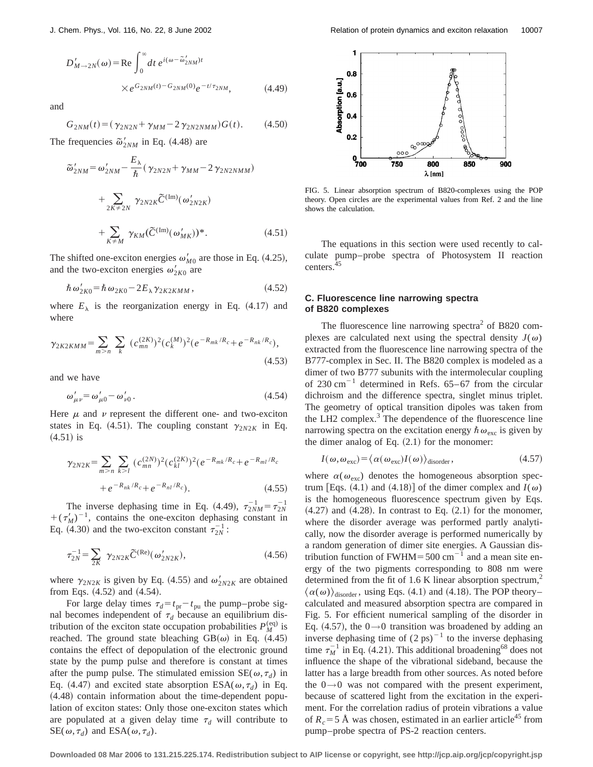$$
D'_{M \to 2N}(\omega) = \text{Re} \int_0^\infty dt \, e^{i(\omega - \tilde{\omega}'_{2NM})t} \times e^{G_{2NM}(t) - G_{2NM}(0)} e^{-t/\tau_{2NM}}, \tag{4.49}
$$

and

$$
G_{2NM}(t) = (\gamma_{2N2N} + \gamma_{MM} - 2 \gamma_{2N2NMM}) G(t). \qquad (4.50)
$$

The frequencies  $\tilde{\omega}'_{2NM}$  in Eq. (4.48) are

$$
\tilde{\omega}_{2NM}^{\prime} = \omega_{2NM}^{\prime} - \frac{E_{\lambda}}{\hbar} (\gamma_{2N2N} + \gamma_{MM} - 2 \gamma_{2N2NM})
$$

$$
+ \sum_{2K \neq 2N} \gamma_{2N2K} \tilde{C}^{(\text{Im})}(\omega_{2N2K}^{\prime})
$$

$$
+ \sum_{K \neq M} \gamma_{KM} (\tilde{C}^{(\text{Im})}(\omega_{MK}^{\prime}))^{*}.
$$
(4.51)

The shifted one-exciton energies  $\omega'_{M0}$  are those in Eq. (4.25), and the two-exciton energies  $\omega'_{2K0}$  are

$$
\hbar \omega'_{2K0} = \hbar \omega_{2K0} - 2E_{\lambda} \gamma_{2K2KMM}, \qquad (4.52)
$$

where  $E_{\lambda}$  is the reorganization energy in Eq. (4.17) and where

$$
\gamma_{2K2KMM} = \sum_{m>n} \sum_{k} (c_{mn}^{(2K)})^2 (c_k^{(M)})^2 (e^{-R_{mk}/R_c} + e^{-R_{nk}/R_c}),
$$
\n(4.53)

and we have

$$
\omega'_{\mu\nu} = \omega'_{\mu 0} - \omega'_{\nu 0} \,. \tag{4.54}
$$

Here  $\mu$  and  $\nu$  represent the different one- and two-exciton states in Eq. (4.51). The coupling constant  $\gamma_{2N2K}$  in Eq.  $(4.51)$  is

$$
\gamma_{2N2K} = \sum_{m>n} \sum_{k>l} (c_{mn}^{(2N)})^2 (c_{kl}^{(2K)})^2 (e^{-R_{mk}/R_c} + e^{-R_{ml}/R_c}) + e^{-R_{nk}/R_c} + e^{-R_{nl}/R_c}).
$$
\n(4.55)

The inverse dephasing time in Eq. (4.49),  $\tau_{2NM}^{-1} = \tau_{2N}^{-1}$  $+(\tau_M')^{-1}$ , contains the one-exciton dephasing constant in Eq. (4.30) and the two-exciton constant  $\tau_{2N}^{-1}$ :

$$
\tau_{2N}^{-1} = \sum_{2K} \ \gamma_{2N2K} \widetilde{C}^{(\text{Re})}(\omega'_{2N2K}), \tag{4.56}
$$

where  $\gamma_{2N2K}$  is given by Eq. (4.55) and  $\omega'_{2N2K}$  are obtained from Eqs.  $(4.52)$  and  $(4.54)$ .

For large delay times  $\tau_d = t_{pr} - t_{pu}$  the pump–probe signal becomes independent of  $\tau_d$  because an equilibrium distribution of the exciton state occupation probabilities  $P_M^{\text{(eq)}}$  is reached. The ground state bleaching  $GB(\omega)$  in Eq. (4.45) contains the effect of depopulation of the electronic ground state by the pump pulse and therefore is constant at times after the pump pulse. The stimulated emission  $SE(\omega, \tau_d)$  in Eq. (4.47) and excited state absorption ESA( $\omega, \tau_d$ ) in Eq.  $(4.48)$  contain information about the time-dependent population of exciton states: Only those one-exciton states which are populated at a given delay time  $\tau_d$  will contribute to  $SE(\omega, \tau_d)$  and  $ESA(\omega, \tau_d)$ .



FIG. 5. Linear absorption spectrum of B820-complexes using the POP theory. Open circles are the experimental values from Ref. 2 and the line shows the calculation.

The equations in this section were used recently to calculate pump–probe spectra of Photosystem II reaction centers.45

# **C. Fluorescence line narrowing spectra of B820 complexes**

The fluorescence line narrowing spectra<sup>2</sup> of B820 complexes are calculated next using the spectral density  $J(\omega)$ extracted from the fluorescence line narrowing spectra of the B777-complex in Sec. II. The B820 complex is modeled as a dimer of two B777 subunits with the intermolecular coupling of 230 cm<sup>-1</sup> determined in Refs.  $65-67$  from the circular dichroism and the difference spectra, singlet minus triplet. The geometry of optical transition dipoles was taken from the LH2 complex. $3$  The dependence of the fluorescence line narrowing spectra on the excitation energy  $\hbar \omega_{\text{exc}}$  is given by the dimer analog of Eq.  $(2.1)$  for the monomer:

$$
I(\omega, \omega_{\text{exc}}) = \langle \alpha(\omega_{\text{exc}}) I(\omega) \rangle_{\text{disorder}},
$$
\n(4.57)

where  $\alpha(\omega_{\text{exc}})$  denotes the homogeneous absorption spectrum [Eqs. (4.1) and (4.18)] of the dimer complex and  $I(\omega)$ is the homogeneous fluorescence spectrum given by Eqs.  $(4.27)$  and  $(4.28)$ . In contrast to Eq.  $(2.1)$  for the monomer, where the disorder average was performed partly analytically, now the disorder average is performed numerically by a random generation of dimer site energies. A Gaussian distribution function of FWHM=500 cm<sup>-1</sup> and a mean site energy of the two pigments corresponding to 808 nm were determined from the fit of 1.6 K linear absorption spectrum, $2$  $\langle \alpha(\omega) \rangle$ <sub>disorder</sub>, using Eqs. (4.1) and (4.18). The POP theory– calculated and measured absorption spectra are compared in Fig. 5. For efficient numerical sampling of the disorder in Eq. (4.57), the  $0\rightarrow 0$  transition was broadened by adding an inverse dephasing time of  $(2 \text{ ps})^{-1}$  to the inverse dephasing time  $\tau_M^{-1}$  in Eq. (4.21). This additional broadening<sup>68</sup> does not influence the shape of the vibrational sideband, because the latter has a large breadth from other sources. As noted before the  $0\rightarrow 0$  was not compared with the present experiment, because of scattered light from the excitation in the experiment. For the correlation radius of protein vibrations a value of  $R_c$ =5 Å was chosen, estimated in an earlier article<sup>45</sup> from pump–probe spectra of PS-2 reaction centers.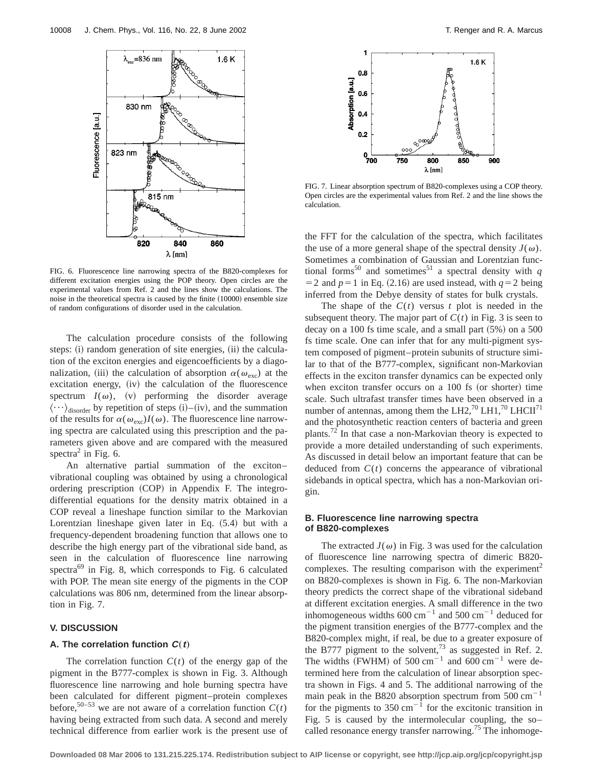

FIG. 6. Fluorescence line narrowing spectra of the B820-complexes for different excitation energies using the POP theory. Open circles are the experimental values from Ref. 2 and the lines show the calculations. The noise in the theoretical spectra is caused by the finite  $(10000)$  ensemble size of random configurations of disorder used in the calculation.

The calculation procedure consists of the following steps: (i) random generation of site energies, (ii) the calculation of the exciton energies and eigencoefficients by a diagonalization, (iii) the calculation of absorption  $\alpha(\omega_{\text{exc}})$  at the  $excitation$  energy,  $(iv)$  the calculation of the fluorescence spectrum  $I(\omega)$ , (v) performing the disorder average  $\langle \cdots \rangle_{disorder}$  by repetition of steps (i)–(iv), and the summation of the results for  $\alpha(\omega_{\rm exc})I(\omega)$ . The fluorescence line narrowing spectra are calculated using this prescription and the parameters given above and are compared with the measured spectra<sup>2</sup> in Fig. 6.

An alternative partial summation of the exciton– vibrational coupling was obtained by using a chronological ordering prescription  $(COP)$  in Appendix F. The integrodifferential equations for the density matrix obtained in a COP reveal a lineshape function similar to the Markovian Lorentzian lineshape given later in Eq.  $(5.4)$  but with a frequency-dependent broadening function that allows one to describe the high energy part of the vibrational side band, as seen in the calculation of fluorescence line narrowing spectra $^{69}$  in Fig. 8, which corresponds to Fig. 6 calculated with POP. The mean site energy of the pigments in the COP calculations was 806 nm, determined from the linear absorption in Fig. 7.

# **V. DISCUSSION**

#### **A. The correlation function**  $C(t)$

The correlation function  $C(t)$  of the energy gap of the pigment in the B777-complex is shown in Fig. 3. Although fluorescence line narrowing and hole burning spectra have been calculated for different pigment–protein complexes before,<sup>50–53</sup> we are not aware of a correlation function  $C(t)$ having being extracted from such data. A second and merely technical difference from earlier work is the present use of



FIG. 7. Linear absorption spectrum of B820-complexes using a COP theory. Open circles are the experimental values from Ref. 2 and the line shows the calculation.

the FFT for the calculation of the spectra, which facilitates the use of a more general shape of the spectral density  $J(\omega)$ . Sometimes a combination of Gaussian and Lorentzian functional forms<sup>50</sup> and sometimes<sup>51</sup> a spectral density with  $q$  $=$  2 and *p*  $=$  1 in Eq. (2.16) are used instead, with *q*  $=$  2 being inferred from the Debye density of states for bulk crystals.

The shape of the *C*(*t*) versus *t* plot is needed in the subsequent theory. The major part of  $C(t)$  in Fig. 3 is seen to decay on a 100 fs time scale, and a small part  $(5%)$  on a 500 fs time scale. One can infer that for any multi-pigment system composed of pigment–protein subunits of structure similar to that of the B777-complex, significant non-Markovian effects in the exciton transfer dynamics can be expected only when exciton transfer occurs on a 100 fs (or shorter) time scale. Such ultrafast transfer times have been observed in a number of antennas, among them the LH2,<sup>70</sup> LH1,<sup>70</sup> LHCII<sup>71</sup> and the photosynthetic reaction centers of bacteria and green plants.72 In that case a non-Markovian theory is expected to provide a more detailed understanding of such experiments. As discussed in detail below an important feature that can be deduced from  $C(t)$  concerns the appearance of vibrational sidebands in optical spectra, which has a non-Markovian origin.

# **B. Fluorescence line narrowing spectra of B820-complexes**

The extracted  $J(\omega)$  in Fig. 3 was used for the calculation of fluorescence line narrowing spectra of dimeric B820 complexes. The resulting comparison with the experiment<sup>2</sup> on B820-complexes is shown in Fig. 6. The non-Markovian theory predicts the correct shape of the vibrational sideband at different excitation energies. A small difference in the two inhomogeneous widths 600 cm<sup>-1</sup> and 500 cm<sup>-1</sup> deduced for the pigment transition energies of the B777-complex and the B820-complex might, if real, be due to a greater exposure of the B777 pigment to the solvent,<sup>73</sup> as suggested in Ref. 2. The widths (FWHM) of 500 cm<sup>-1</sup> and 600 cm<sup>-1</sup> were determined here from the calculation of linear absorption spectra shown in Figs. 4 and 5. The additional narrowing of the main peak in the B820 absorption spectrum from  $500 \text{ cm}^{-1}$ for the pigments to  $350 \text{ cm}^{-1}$  for the excitonic transition in Fig. 5 is caused by the intermolecular coupling, the so– called resonance energy transfer narrowing.<sup>75</sup> The inhomoge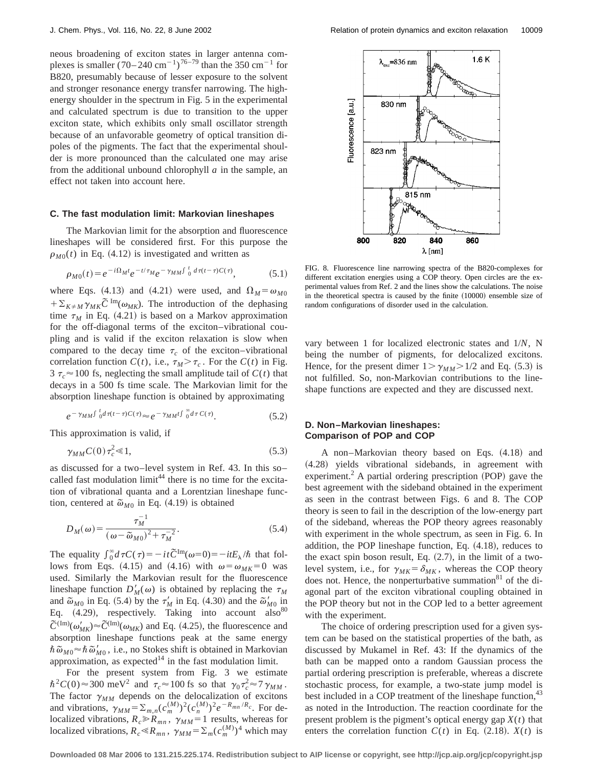neous broadening of exciton states in larger antenna complexes is smaller  $(70-240 \text{ cm}^{-1})^{76-79}$  than the 350 cm<sup>-1</sup> for B820, presumably because of lesser exposure to the solvent and stronger resonance energy transfer narrowing. The highenergy shoulder in the spectrum in Fig. 5 in the experimental and calculated spectrum is due to transition to the upper exciton state, which exhibits only small oscillator strength because of an unfavorable geometry of optical transition dipoles of the pigments. The fact that the experimental shoulder is more pronounced than the calculated one may arise from the additional unbound chlorophyll *a* in the sample, an effect not taken into account here.

#### **C. The fast modulation limit: Markovian lineshapes**

The Markovian limit for the absorption and fluorescence lineshapes will be considered first. For this purpose the  $\rho_{M0}(t)$  in Eq. (4.12) is investigated and written as

$$
\rho_{M0}(t) = e^{-i\Omega_M t} e^{-t/\tau_M} e^{-\gamma_{MM} \int_{0}^{t} d\tau (t-\tau) C(\tau)}, \tag{5.1}
$$

where Eqs. (4.13) and (4.21) were used, and  $\Omega_M = \omega_{M0}$  $+\sum_{K \neq M} \gamma_{MK} \tilde{C}^{Im}(\omega_{MK})$ . The introduction of the dephasing time  $\tau_M$  in Eq. (4.21) is based on a Markov approximation for the off-diagonal terms of the exciton–vibrational coupling and is valid if the exciton relaxation is slow when compared to the decay time  $\tau_c$  of the exciton–vibrational correlation function *C*(*t*), i.e.,  $\tau_M > \tau_c$ . For the *C*(*t*) in Fig. 3  $\tau_c \approx 100$  fs, neglecting the small amplitude tail of  $C(t)$  that decays in a 500 fs time scale. The Markovian limit for the absorption lineshape function is obtained by approximating

$$
e^{-\gamma_{MM} \int_{0}^{t} d\tau (t-\tau) C(\tau)} \approx e^{-\gamma_{MM} t \int_{0}^{\infty} d\tau C(\tau)}.
$$
 (5.2)

This approximation is valid, if

$$
\gamma_{MM} C(0) \tau_c^2 \ll 1,\tag{5.3}
$$

as discussed for a two–level system in Ref. 43. In this so– called fast modulation  $\lim_{x\to 4}$  there is no time for the excitation of vibrational quanta and a Lorentzian lineshape function, centered at  $\tilde{\omega}_{M0}$  in Eq. (4.19) is obtained

$$
D_M(\omega) = \frac{\tau_M^{-1}}{(\omega - \tilde{\omega}_{M0})^2 + \tau_M^{-2}}.
$$
\n(5.4)

The equality  $\int_0^{\infty} d\tau C(\tau) = -it \tilde{C}^{\text{Im}}(\omega=0) = -itE_\lambda/\hbar$  that follows from Eqs. (4.15) and (4.16) with  $\omega = \omega_{MK} = 0$  was used. Similarly the Markovian result for the fluorescence lineshape function  $D_M'(\omega)$  is obtained by replacing the  $\tau_M$ and  $\tilde{\omega}_{M0}$  in Eq. (5.4) by the  $\tau'_M$  in Eq. (4.30) and the  $\tilde{\omega}'_{M0}$  in Eq.  $(4.29)$ , respectively. Taking into account also<sup>80</sup>  $\tilde{C}^{(Im)}(\omega'_{MK}) \approx \tilde{C}^{(Im)}(\omega_{MK})$  and Eq. (4.25), the fluorescence and absorption lineshape functions peak at the same energy  $\hbar \tilde{\omega}_{M0} \approx \hbar \tilde{\omega}'_{M0}$ , i.e., no Stokes shift is obtained in Markovian approximation, as expected<sup>14</sup> in the fast modulation limit.

For the present system from Fig. 3 we estimate  $\hbar^2 C(0) \approx 300 \text{ meV}^2$  and  $\tau_c \approx 100 \text{ fs so that } \gamma_0 \tau_c^2 \approx 7 \gamma_{MM}$ . The factor  $\gamma_{MM}$  depends on the delocalization of excitons and vibrations,  $\gamma_{MM} = \sum_{m,n} (c_m^{(M)})^2 (c_n^{(M)})^2 e^{-R_{mn}/R_c}$ . For delocalized vibrations,  $R_c \ge R_{mn}$ ,  $\gamma_{MM} = 1$  results, whereas for localized vibrations,  $R_c \ll R_{mn}$ ,  $\gamma_{MM} = \sum_m (c_m^{(M)})^4$  which may



FIG. 8. Fluorescence line narrowing spectra of the B820-complexes for different excitation energies using a COP theory. Open circles are the experimental values from Ref. 2 and the lines show the calculations. The noise in the theoretical spectra is caused by the finite  $(10000)$  ensemble size of random configurations of disorder used in the calculation.

vary between 1 for localized electronic states and 1/*N*, N being the number of pigments, for delocalized excitons. Hence, for the present dimer  $1 > \gamma_{MM} > 1/2$  and Eq. (5.3) is not fulfilled. So, non-Markovian contributions to the lineshape functions are expected and they are discussed next.

## **D. Non–Markovian lineshapes: Comparison of POP and COP**

A non–Markovian theory based on Eqs. (4.18) and  $(4.28)$  yields vibrational sidebands, in agreement with experiment.<sup>2</sup> A partial ordering prescription  $(POP)$  gave the best agreement with the sideband obtained in the experiment as seen in the contrast between Figs. 6 and 8. The COP theory is seen to fail in the description of the low-energy part of the sideband, whereas the POP theory agrees reasonably with experiment in the whole spectrum, as seen in Fig. 6. In addition, the POP lineshape function, Eq.  $(4.18)$ , reduces to the exact spin boson result, Eq.  $(2.7)$ , in the limit of a twolevel system, i.e., for  $\gamma_{MK} = \delta_{MK}$ , whereas the COP theory does not. Hence, the nonperturbative summation $81$  of the diagonal part of the exciton vibrational coupling obtained in the POP theory but not in the COP led to a better agreement with the experiment.

The choice of ordering prescription used for a given system can be based on the statistical properties of the bath, as discussed by Mukamel in Ref. 43: If the dynamics of the bath can be mapped onto a random Gaussian process the partial ordering prescription is preferable, whereas a discrete stochastic process, for example, a two-state jump model is best included in a COP treatment of the lineshape function,<sup>43</sup> as noted in the Introduction. The reaction coordinate for the present problem is the pigment's optical energy gap  $X(t)$  that enters the correlation function  $C(t)$  in Eq.  $(2.18)$ .  $X(t)$  is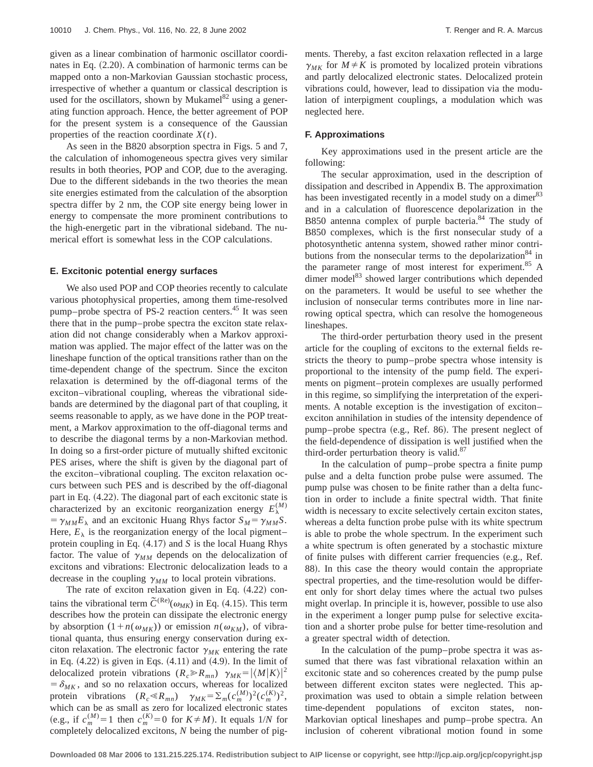given as a linear combination of harmonic oscillator coordinates in Eq.  $(2.20)$ . A combination of harmonic terms can be mapped onto a non-Markovian Gaussian stochastic process, irrespective of whether a quantum or classical description is used for the oscillators, shown by Mukamel $^{82}$  using a generating function approach. Hence, the better agreement of POP for the present system is a consequence of the Gaussian properties of the reaction coordinate *X*(*t*).

As seen in the B820 absorption spectra in Figs. 5 and 7, the calculation of inhomogeneous spectra gives very similar results in both theories, POP and COP, due to the averaging. Due to the different sidebands in the two theories the mean site energies estimated from the calculation of the absorption spectra differ by 2 nm, the COP site energy being lower in energy to compensate the more prominent contributions to the high-energetic part in the vibrational sideband. The numerical effort is somewhat less in the COP calculations.

## **E. Excitonic potential energy surfaces**

We also used POP and COP theories recently to calculate various photophysical properties, among them time-resolved pump–probe spectra of PS-2 reaction centers.<sup>45</sup> It was seen there that in the pump–probe spectra the exciton state relaxation did not change considerably when a Markov approximation was applied. The major effect of the latter was on the lineshape function of the optical transitions rather than on the time-dependent change of the spectrum. Since the exciton relaxation is determined by the off-diagonal terms of the exciton–vibrational coupling, whereas the vibrational sidebands are determined by the diagonal part of that coupling, it seems reasonable to apply, as we have done in the POP treatment, a Markov approximation to the off-diagonal terms and to describe the diagonal terms by a non-Markovian method. In doing so a first-order picture of mutually shifted excitonic PES arises, where the shift is given by the diagonal part of the exciton–vibrational coupling. The exciton relaxation occurs between such PES and is described by the off-diagonal part in Eq.  $(4.22)$ . The diagonal part of each excitonic state is characterized by an excitonic reorganization energy  $E_{\lambda}^{(M)}$  $= \gamma_{MM} E_{\lambda}$  and an excitonic Huang Rhys factor  $S_M = \gamma_{MM} S$ . Here,  $E_{\lambda}$  is the reorganization energy of the local pigment– protein coupling in Eq.  $(4.17)$  and *S* is the local Huang Rhys factor. The value of  $\gamma_{MM}$  depends on the delocalization of excitons and vibrations: Electronic delocalization leads to a decrease in the coupling  $\gamma_{MM}$  to local protein vibrations.

The rate of exciton relaxation given in Eq.  $(4.22)$  contains the vibrational term  $\tilde{C}^{(Re)}(\omega_{MK})$  in Eq. (4.15). This term describes how the protein can dissipate the electronic energy by absorption  $(1+n(\omega_{MK}))$  or emission  $n(\omega_{KM})$ , of vibrational quanta, thus ensuring energy conservation during exciton relaxation. The electronic factor  $\gamma_{MK}$  entering the rate in Eq.  $(4.22)$  is given in Eqs.  $(4.11)$  and  $(4.9)$ . In the limit of delocalized protein vibrations  $(R_c \gg R_{mn}) \gamma_{MK} = |\langle M|K \rangle|^2$  $= \delta_{MK}$ , and so no relaxation occurs, whereas for localized protein vibrations  $(R_c \ll R_{mn})$   $\gamma_{MK} = \sum_m (c_m^{(M)})^2 (c_m^{(K)})^2$ , which can be as small as zero for localized electronic states (e.g., if  $c_m^{(M)} = 1$  then  $c_m^{(K)} = 0$  for  $K \neq M$ ). It equals  $1/N$  for completely delocalized excitons, *N* being the number of pigments. Thereby, a fast exciton relaxation reflected in a large  $\gamma_{MK}$  for  $M \neq K$  is promoted by localized protein vibrations and partly delocalized electronic states. Delocalized protein vibrations could, however, lead to dissipation via the modulation of interpigment couplings, a modulation which was neglected here.

#### **F. Approximations**

Key approximations used in the present article are the following:

The secular approximation, used in the description of dissipation and described in Appendix B. The approximation has been investigated recently in a model study on a dimer<sup>83</sup> and in a calculation of fluorescence depolarization in the B850 antenna complex of purple bacteria.<sup>84</sup> The study of B850 complexes, which is the first nonsecular study of a photosynthetic antenna system, showed rather minor contributions from the nonsecular terms to the depolarization  $84$  in the parameter range of most interest for experiment.<sup>85</sup> A dimer model<sup>83</sup> showed larger contributions which depended on the parameters. It would be useful to see whether the inclusion of nonsecular terms contributes more in line narrowing optical spectra, which can resolve the homogeneous lineshapes.

The third-order perturbation theory used in the present article for the coupling of excitons to the external fields restricts the theory to pump–probe spectra whose intensity is proportional to the intensity of the pump field. The experiments on pigment–protein complexes are usually performed in this regime, so simplifying the interpretation of the experiments. A notable exception is the investigation of exciton– exciton annihilation in studies of the intensity dependence of pump–probe spectra (e.g., Ref. 86). The present neglect of the field-dependence of dissipation is well justified when the third-order perturbation theory is valid.<sup>87</sup>

In the calculation of pump–probe spectra a finite pump pulse and a delta function probe pulse were assumed. The pump pulse was chosen to be finite rather than a delta function in order to include a finite spectral width. That finite width is necessary to excite selectively certain exciton states, whereas a delta function probe pulse with its white spectrum is able to probe the whole spectrum. In the experiment such a white spectrum is often generated by a stochastic mixture of finite pulses with different carrier frequencies (e.g., Ref. 88). In this case the theory would contain the appropriate spectral properties, and the time-resolution would be different only for short delay times where the actual two pulses might overlap. In principle it is, however, possible to use also in the experiment a longer pump pulse for selective excitation and a shorter probe pulse for better time-resolution and a greater spectral width of detection.

In the calculation of the pump–probe spectra it was assumed that there was fast vibrational relaxation within an excitonic state and so coherences created by the pump pulse between different exciton states were neglected. This approximation was used to obtain a simple relation between time-dependent populations of exciton states, non-Markovian optical lineshapes and pump–probe spectra. An inclusion of coherent vibrational motion found in some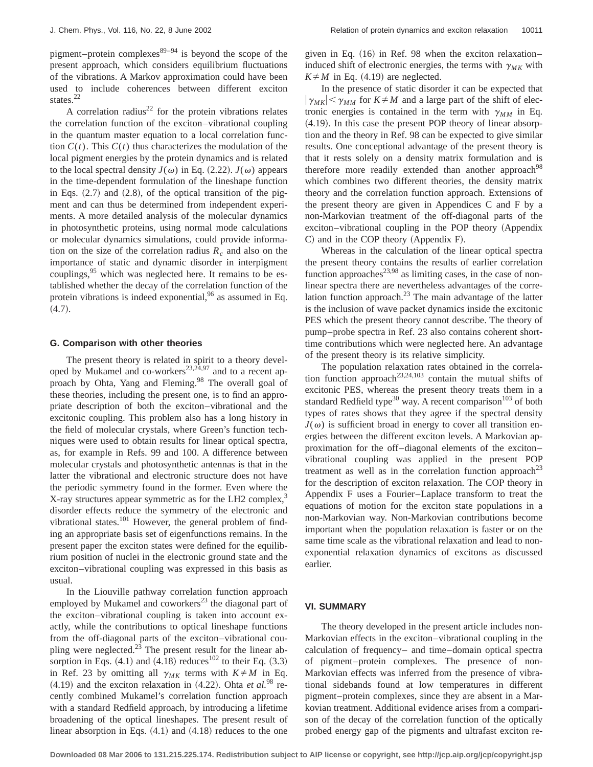pigment–protein complexes<sup>89–94</sup> is beyond the scope of the present approach, which considers equilibrium fluctuations of the vibrations. A Markov approximation could have been used to include coherences between different exciton states. $^{22}$ 

A correlation radius<sup>22</sup> for the protein vibrations relates the correlation function of the exciton–vibrational coupling in the quantum master equation to a local correlation function  $C(t)$ . This  $C(t)$  thus characterizes the modulation of the local pigment energies by the protein dynamics and is related to the local spectral density  $J(\omega)$  in Eq. (2.22).  $J(\omega)$  appears in the time-dependent formulation of the lineshape function in Eqs.  $(2.7)$  and  $(2.8)$ , of the optical transition of the pigment and can thus be determined from independent experiments. A more detailed analysis of the molecular dynamics in photosynthetic proteins, using normal mode calculations or molecular dynamics simulations, could provide information on the size of the correlation radius  $R_c$  and also on the importance of static and dynamic disorder in interpigment couplings,<sup>95</sup> which was neglected here. It remains to be established whether the decay of the correlation function of the protein vibrations is indeed exponential,  $96$  as assumed in Eq.  $(4.7).$ 

#### **G. Comparison with other theories**

The present theory is related in spirit to a theory developed by Mukamel and co-workers<sup>23,24,97</sup> and to a recent approach by Ohta, Yang and Fleming.<sup>98</sup> The overall goal of these theories, including the present one, is to find an appropriate description of both the exciton–vibrational and the excitonic coupling. This problem also has a long history in the field of molecular crystals, where Green's function techniques were used to obtain results for linear optical spectra, as, for example in Refs. 99 and 100. A difference between molecular crystals and photosynthetic antennas is that in the latter the vibrational and electronic structure does not have the periodic symmetry found in the former. Even where the X-ray structures appear symmetric as for the LH2 complex,<sup>3</sup> disorder effects reduce the symmetry of the electronic and vibrational states.<sup>101</sup> However, the general problem of finding an appropriate basis set of eigenfunctions remains. In the present paper the exciton states were defined for the equilibrium position of nuclei in the electronic ground state and the exciton–vibrational coupling was expressed in this basis as usual.

In the Liouville pathway correlation function approach employed by Mukamel and coworkers<sup>23</sup> the diagonal part of the exciton–vibrational coupling is taken into account exactly, while the contributions to optical lineshape functions from the off-diagonal parts of the exciton–vibrational coupling were neglected.<sup>23</sup> The present result for the linear absorption in Eqs.  $(4.1)$  and  $(4.18)$  reduces<sup>102</sup> to their Eq.  $(3.3)$ in Ref. 23 by omitting all  $\gamma_{MK}$  terms with  $K \neq M$  in Eq.  $(4.19)$  and the exciton relaxation in  $(4.22)$ . Ohta *et al.*<sup>98</sup> recently combined Mukamel's correlation function approach with a standard Redfield approach, by introducing a lifetime broadening of the optical lineshapes. The present result of linear absorption in Eqs.  $(4.1)$  and  $(4.18)$  reduces to the one given in Eq.  $(16)$  in Ref. 98 when the exciton relaxation– induced shift of electronic energies, the terms with  $\gamma_{MK}$  with  $K \neq M$  in Eq. (4.19) are neglected.

In the presence of static disorder it can be expected that  $|\gamma_{MK}| < \gamma_{MM}$  for  $K \neq M$  and a large part of the shift of electronic energies is contained in the term with  $\gamma_{MM}$  in Eq.  $(4.19)$ . In this case the present POP theory of linear absorption and the theory in Ref. 98 can be expected to give similar results. One conceptional advantage of the present theory is that it rests solely on a density matrix formulation and is therefore more readily extended than another approach<sup>98</sup> which combines two different theories, the density matrix theory and the correlation function approach. Extensions of the present theory are given in Appendices C and F by a non-Markovian treatment of the off-diagonal parts of the exciton–vibrational coupling in the POP theory (Appendix  $C$ ) and in the COP theory (Appendix F).

Whereas in the calculation of the linear optical spectra the present theory contains the results of earlier correlation function approaches $^{23,98}$  as limiting cases, in the case of nonlinear spectra there are nevertheless advantages of the correlation function approach. $23$  The main advantage of the latter is the inclusion of wave packet dynamics inside the excitonic PES which the present theory cannot describe. The theory of pump–probe spectra in Ref. 23 also contains coherent shorttime contributions which were neglected here. An advantage of the present theory is its relative simplicity.

The population relaxation rates obtained in the correlation function approach<sup>23,24,103</sup> contain the mutual shifts of excitonic PES, whereas the present theory treats them in a standard Redfield type $30$  way. A recent comparison<sup>103</sup> of both types of rates shows that they agree if the spectral density  $J(\omega)$  is sufficient broad in energy to cover all transition energies between the different exciton levels. A Markovian approximation for the off–diagonal elements of the exciton– vibrational coupling was applied in the present POP treatment as well as in the correlation function approach<sup>23</sup> for the description of exciton relaxation. The COP theory in Appendix F uses a Fourier–Laplace transform to treat the equations of motion for the exciton state populations in a non-Markovian way. Non-Markovian contributions become important when the population relaxation is faster or on the same time scale as the vibrational relaxation and lead to nonexponential relaxation dynamics of excitons as discussed earlier.

#### **VI. SUMMARY**

The theory developed in the present article includes non-Markovian effects in the exciton–vibrational coupling in the calculation of frequency– and time–domain optical spectra of pigment–protein complexes. The presence of non-Markovian effects was inferred from the presence of vibrational sidebands found at low temperatures in different pigment–protein complexes, since they are absent in a Markovian treatment. Additional evidence arises from a comparison of the decay of the correlation function of the optically probed energy gap of the pigments and ultrafast exciton re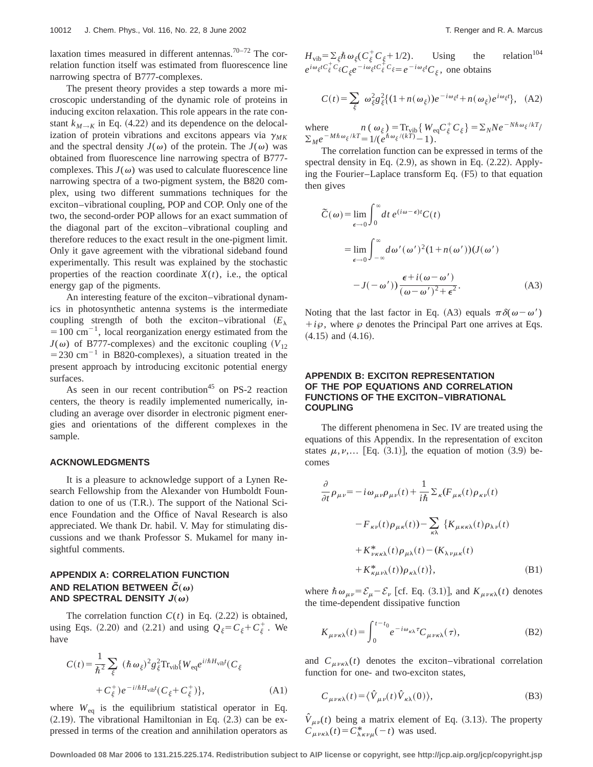laxation times measured in different antennas.<sup>70–72</sup> The correlation function itself was estimated from fluorescence line narrowing spectra of B777-complexes.

The present theory provides a step towards a more microscopic understanding of the dynamic role of proteins in inducing exciton relaxation. This role appears in the rate constant  $k_{M\rightarrow K}$  in Eq. (4.22) and its dependence on the delocalization of protein vibrations and excitons appears via  $\gamma_{MK}$ and the spectral density  $J(\omega)$  of the protein. The  $J(\omega)$  was obtained from fluorescence line narrowing spectra of B777 complexes. This  $J(\omega)$  was used to calculate fluorescence line narrowing spectra of a two-pigment system, the B820 complex, using two different summations techniques for the exciton–vibrational coupling, POP and COP. Only one of the two, the second-order POP allows for an exact summation of the diagonal part of the exciton–vibrational coupling and therefore reduces to the exact result in the one-pigment limit. Only it gave agreement with the vibrational sideband found experimentally. This result was explained by the stochastic properties of the reaction coordinate  $X(t)$ , i.e., the optical energy gap of the pigments.

An interesting feature of the exciton–vibrational dynamics in photosynthetic antenna systems is the intermediate coupling strength of both the exciton–vibrational  $(E_{\lambda})$  $=100$  cm<sup>-1</sup>, local reorganization energy estimated from the  $J(\omega)$  of B777-complexes) and the excitonic coupling  $(V_{12})$  $=$  230 cm<sup>-1</sup> in B820-complexes), a situation treated in the present approach by introducing excitonic potential energy surfaces.

As seen in our recent contribution<sup>45</sup> on PS-2 reaction centers, the theory is readily implemented numerically, including an average over disorder in electronic pigment energies and orientations of the different complexes in the sample.

#### **ACKNOWLEDGMENTS**

It is a pleasure to acknowledge support of a Lynen Research Fellowship from the Alexander von Humboldt Foundation to one of us  $(T.R.)$ . The support of the National Science Foundation and the Office of Naval Research is also appreciated. We thank Dr. habil. V. May for stimulating discussions and we thank Professor S. Mukamel for many insightful comments.

# **APPENDIX A: CORRELATION FUNCTION** AND RELATION BETWEEN  $\hat{C}(\omega)$ AND SPECTRAL DENSITY  $J(\omega)$

The correlation function  $C(t)$  in Eq.  $(2.22)$  is obtained, using Eqs. (2.20) and (2.21) and using  $Q_{\xi} = C_{\xi} + C_{\xi}^{+}$ . We have

$$
C(t) = \frac{1}{\hbar^2} \sum_{\xi} (\hbar \omega_{\xi})^2 g_{\xi}^2 \text{Tr}_{\text{vib}} \{ W_{\text{eq}} e^{i/\hbar H_{\text{vib}}t} (C_{\xi} + C_{\xi}^+) \}.
$$
\n
$$
+ C_{\xi}^+ e^{-i/\hbar H_{\text{vib}}t} (C_{\xi} + C_{\xi}^+) \}, \tag{A1}
$$

where  $W_{eq}$  is the equilibrium statistical operator in Eq.  $(2.19)$ . The vibrational Hamiltonian in Eq.  $(2.3)$  can be expressed in terms of the creation and annihilation operators as  $H_{\text{vib}} = \sum_{\xi} \hbar \omega_{\xi} (C_{\xi}^+ C_{\xi} + 1/2)$ . Using the relation<sup>104</sup>  $e^{i\omega_{\xi}tC_{\xi}^{+}C_{\xi}C_{\xi}e^{-i\omega_{\xi}tC_{\xi}^{+}C_{\xi}}=e^{-i\omega_{\xi}t}C_{\xi}$ , one obtains

$$
C(t) = \sum_{\xi} \omega_{\xi}^2 g_{\xi}^2 \{ (1 + n(\omega_{\xi})) e^{-i\omega_{\xi}t} + n(\omega_{\xi}) e^{i\omega_{\xi}t} \}, \quad (A2)
$$

where  $n(\omega_{\xi}) = \text{Tr}_{\text{vib}} \{ W_{\text{eq}} C_{\xi}^{+} C_{\xi} \} = \sum_{N} N e^{-N\hbar \omega_{\xi}/kT/2}$  $\sum_M e^{-M\hbar\omega_\xi /kT} = 1/(\varepsilon^{\hbar\omega_\xi/(kT)}-1).$ 

The correlation function can be expressed in terms of the spectral density in Eq.  $(2.9)$ , as shown in Eq.  $(2.22)$ . Applying the Fourier–Laplace transform Eq.  $(F5)$  to that equation then gives

$$
\widetilde{C}(\omega) = \lim_{\epsilon \to 0} \int_0^{\infty} dt \, e^{(i\omega - \epsilon)t} C(t)
$$

$$
= \lim_{\epsilon \to 0} \int_{-\infty}^{\infty} d\omega' (\omega')^2 (1 + n(\omega')) (J(\omega')
$$

$$
-J(-\omega')) \frac{\epsilon + i(\omega - \omega')}{(\omega - \omega')^2 + \epsilon^2}.
$$
(A3)

Noting that the last factor in Eq. (A3) equals  $\pi\delta(\omega-\omega')$  $+i\wp$ , where  $\wp$  denotes the Principal Part one arrives at Eqs.  $(4.15)$  and  $(4.16)$ .

# **APPENDIX B: EXCITON REPRESENTATION OF THE POP EQUATIONS AND CORRELATION FUNCTIONS OF THE EXCITON–VIBRATIONAL COUPLING**

The different phenomena in Sec. IV are treated using the equations of this Appendix. In the representation of exciton states  $\mu, \nu,...$  [Eq. (3.1)], the equation of motion (3.9) becomes

$$
\frac{\partial}{\partial t} \rho_{\mu\nu} = -i \omega_{\mu\nu} \rho_{\mu\nu}(t) + \frac{1}{i\hbar} \Sigma_{\kappa} (F_{\mu\kappa}(t) \rho_{\kappa\nu}(t) - F_{\kappa\nu}(t) \rho_{\mu\kappa}(t)) - \sum_{\kappa\lambda} \{ K_{\mu\kappa\kappa\lambda}(t) \rho_{\lambda\nu}(t) + K_{\nu\kappa\kappa\lambda}^*(t) \rho_{\mu\lambda}(t) - (K_{\lambda\nu\mu\kappa}(t) + K_{\kappa\mu\nu\lambda}^*(t)) \rho_{\kappa\lambda}(t) \},
$$
\n(B1)

where  $\hbar \omega_{\mu\nu} = \mathcal{E}_{\mu} - \mathcal{E}_{\nu}$  [cf. Eq. (3.1)], and  $K_{\mu\nu\kappa\lambda}(t)$  denotes the time-dependent dissipative function

$$
K_{\mu\nu\kappa\lambda}(t) = \int_0^{t-t_0} e^{-i\omega_{\kappa\lambda}\tau} C_{\mu\nu\kappa\lambda}(\tau),
$$
 (B2)

and  $C_{\mu\nu\kappa\lambda}(t)$  denotes the exciton–vibrational correlation function for one- and two-exciton states,

$$
C_{\mu\nu\kappa\lambda}(t) = \langle \hat{V}_{\mu\nu}(t) \hat{V}_{\kappa\lambda}(0) \rangle, \tag{B3}
$$

 $\hat{V}_{\mu\nu}(t)$  being a matrix element of Eq. (3.13). The property  $C_{\mu\nu\kappa\lambda}(t) = C_{\lambda\kappa\nu\mu}^*(-t)$  was used.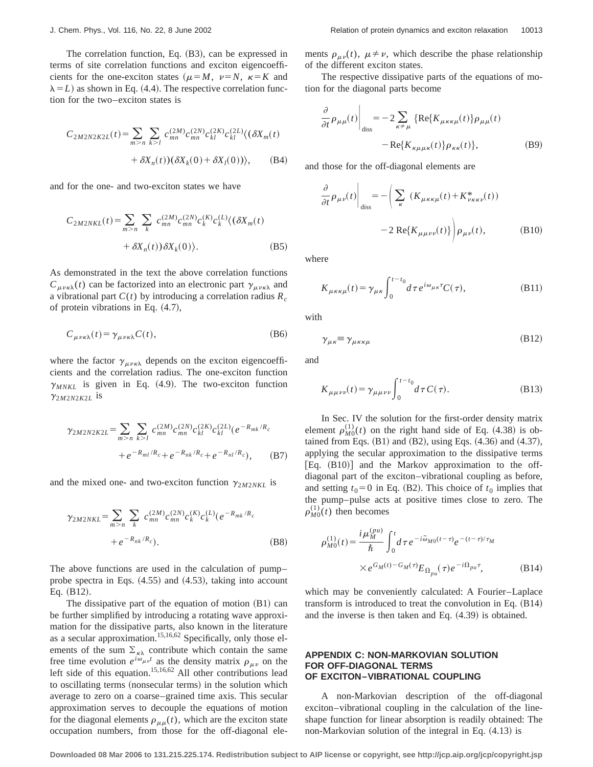The correlation function, Eq.  $(B3)$ , can be expressed in terms of site correlation functions and exciton eigencoefficients for the one-exciton states ( $\mu = M$ ,  $\nu = N$ ,  $\kappa = K$  and  $\lambda = L$ ) as shown in Eq. (4.4). The respective correlation function for the two–exciton states is

$$
C_{2M2N2K2L}(t) = \sum_{m>n} \sum_{k>l} c_{mn}^{(2M)} c_{mn}^{(2N)} c_{kl}^{(2K)} c_{kl}^{(2L)} \langle (\delta X_m(t) + \delta X_n(t)) (\delta X_k(0) + \delta X_l(0)) \rangle, \tag{B4}
$$

and for the one- and two-exciton states we have

$$
C_{2M2NKL}(t) = \sum_{m>n} \sum_{k} c_{mn}^{(2M)} c_{mn}^{(2N)} c_k^{(K)} c_k^{(L)} \langle (\delta X_m(t) + \delta X_n(t)) \delta X_k(0) \rangle.
$$
 (B5)

As demonstrated in the text the above correlation functions  $C_{\mu\nu\kappa\lambda}(t)$  can be factorized into an electronic part  $\gamma_{\mu\nu\kappa\lambda}$  and a vibrational part  $C(t)$  by introducing a correlation radius  $R_c$ of protein vibrations in Eq.  $(4.7)$ ,

$$
C_{\mu\nu\kappa\lambda}(t) = \gamma_{\mu\nu\kappa\lambda} C(t),
$$
\n(B6)

where the factor  $\gamma_{\mu\nu\kappa\lambda}$  depends on the exciton eigencoefficients and the correlation radius. The one-exciton function  $\gamma_{MNKL}$  is given in Eq. (4.9). The two-exciton function  $\gamma_{2M2N2K2L}$  is

$$
\gamma_{2M2N2K2L} = \sum_{m>n} \sum_{k>l} c_{mn}^{(2M)} c_{mn}^{(2N)} c_{kl}^{(2K)} c_{kl}^{(2L)} (e^{-R_{mk}/R_c} + e^{-R_{ml}/R_c + e^{-R_{nl}/R_c + e^{-R_{nl}/R_c}}),
$$
(B7)

and the mixed one- and two-exciton function  $\gamma_{2M2NKL}$  is

$$
\gamma_{2M2NKL} = \sum_{m>n} \sum_{k} c_{mn}^{(2M)} c_{mn}^{(2N)} c_{k}^{(K)} c_{k}^{(L)} (e^{-R_{mk}/R_{c}} + e^{-R_{nk}/R_{c}}).
$$
\n(B8)

The above functions are used in the calculation of pump– probe spectra in Eqs.  $(4.55)$  and  $(4.53)$ , taking into account Eq.  $(B12)$ .

The dissipative part of the equation of motion  $(B1)$  can be further simplified by introducing a rotating wave approximation for the dissipative parts, also known in the literature as a secular approximation.15,16,62 Specifically, only those elements of the sum  $\Sigma_{k\lambda}$  contribute which contain the same free time evolution  $e^{i\omega_{\mu\nu}t}$  as the density matrix  $\rho_{\mu\nu}$  on the left side of this equation.<sup>15,16,62</sup> All other contributions lead to oscillating terms (nonsecular terms) in the solution which average to zero on a coarse–grained time axis. This secular approximation serves to decouple the equations of motion for the diagonal elements  $\rho_{\mu\mu}(t)$ , which are the exciton state occupation numbers, from those for the off-diagonal elements  $\rho_{\mu\nu}(t)$ ,  $\mu \neq \nu$ , which describe the phase relationship of the different exciton states.

The respective dissipative parts of the equations of motion for the diagonal parts become

$$
\frac{\partial}{\partial t} \rho_{\mu\mu}(t) \Big|_{\text{diss}} = -2 \sum_{\kappa \neq \mu} \{ \text{Re}\{K_{\mu\kappa\kappa\mu}(t)\} \rho_{\mu\mu}(t) - \text{Re}\{K_{\kappa\mu\mu\kappa}(t)\} \rho_{\kappa\kappa}(t) \}, \tag{B9}
$$

and those for the off-diagonal elements are

$$
\frac{\partial}{\partial t} \rho_{\mu\nu}(t) \Big|_{\text{diss}} = -\Bigg(\sum_{\kappa} \left(K_{\mu\kappa\kappa\mu}(t) + K_{\nu\kappa\kappa\nu}^*(t)\right) - 2 \text{Re}\{K_{\mu\mu\nu\nu}(t)\}\Bigg) \rho_{\mu\nu}(t), \tag{B10}
$$

where

$$
K_{\mu\kappa\kappa\mu}(t) = \gamma_{\mu\kappa} \int_0^{t-t_0} d\tau \, e^{i\omega_{\mu\kappa}\tau} C(\tau), \tag{B11}
$$

with

$$
\gamma_{\mu\kappa} \equiv \gamma_{\mu\kappa\kappa\mu} \tag{B12}
$$

and

$$
K_{\mu\mu\nu\nu}(t) = \gamma_{\mu\mu\nu\nu} \int_0^{t-t_0} d\tau C(\tau). \tag{B13}
$$

In Sec. IV the solution for the first-order density matrix element  $\rho_{M0}^{(1)}(t)$  on the right hand side of Eq. (4.38) is obtained from Eqs.  $(B1)$  and  $(B2)$ , using Eqs.  $(4.36)$  and  $(4.37)$ , applying the secular approximation to the dissipative terms  $[Eq. (B10)]$  and the Markov approximation to the offdiagonal part of the exciton–vibrational coupling as before, and setting  $t_0=0$  in Eq. (B2). This choice of  $t_0$  implies that the pump–pulse acts at positive times close to zero. The  $\rho_{M0}^{(1)}(t)$  then becomes

$$
\rho_{M0}^{(1)}(t) = \frac{i\mu_M^{(pu)}}{\hbar} \int_0^t d\tau \, e^{-i\tilde{\omega}_{M0}(t-\tau)} e^{-(t-\tau)/\tau_M} \\
\times e^{G_M(t) - G_M(\tau)} E_{\Omega_{pu}}(\tau) e^{-i\Omega_{pu}\tau},
$$
\n(B14)

which may be conveniently calculated: A Fourier–Laplace transform is introduced to treat the convolution in Eq.  $(B14)$ and the inverse is then taken and Eq.  $(4.39)$  is obtained.

# **APPENDIX C: NON-MARKOVIAN SOLUTION FOR OFF-DIAGONAL TERMS OF EXCITON–VIBRATIONAL COUPLING**

A non-Markovian description of the off-diagonal exciton–vibrational coupling in the calculation of the lineshape function for linear absorption is readily obtained: The non-Markovian solution of the integral in Eq.  $(4.13)$  is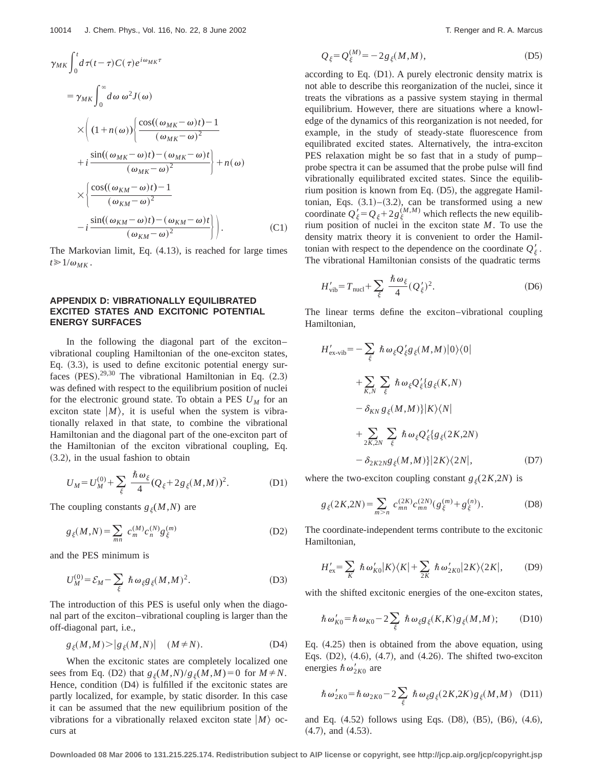$$
\gamma_{MK} \int_{0}^{t} d\tau (t-\tau) C(\tau) e^{i\omega_{MK}\tau}
$$
\n
$$
= \gamma_{MK} \int_{0}^{\infty} d\omega \omega^{2} J(\omega)
$$
\n
$$
\times \left( (1+n(\omega)) \left\{ \frac{\cos((\omega_{MK}-\omega)t)-1}{(\omega_{MK}-\omega)^{2}} + i \frac{\sin((\omega_{MK}-\omega)t)-(\omega_{MK}-\omega)t}{(\omega_{MK}-\omega)^{2}} \right\} + n(\omega)
$$
\n
$$
\times \left\{ \frac{\cos((\omega_{KM}-\omega)t)-1}{(\omega_{KM}-\omega)^{2}} - i \frac{\sin((\omega_{KM}-\omega)t)-(\omega_{KM}-\omega)t}{(\omega_{KM}-\omega)^{2}} \right\} \right). \tag{C1}
$$

The Markovian limit, Eq.  $(4.13)$ , is reached for large times  $t \geq 1/\omega_{MK}$ .

#### **APPENDIX D: VIBRATIONALLY EQUILIBRATED EXCITED STATES AND EXCITONIC POTENTIAL ENERGY SURFACES**

In the following the diagonal part of the exciton– vibrational coupling Hamiltonian of the one-exciton states, Eq.  $(3.3)$ , is used to define excitonic potential energy surfaces  $(PES).^{29,30}$  The vibrational Hamiltonian in Eq.  $(2.3)$ was defined with respect to the equilibrium position of nuclei for the electronic ground state. To obtain a PES  $U_M$  for an exciton state  $|M\rangle$ , it is useful when the system is vibrationally relaxed in that state, to combine the vibrational Hamiltonian and the diagonal part of the one-exciton part of the Hamiltonian of the exciton vibrational coupling, Eq.  $(3.2)$ , in the usual fashion to obtain

$$
U_M = U_M^{(0)} + \sum_{\xi} \frac{\hbar \omega_{\xi}}{4} (Q_{\xi} + 2g_{\xi}(M, M))^2.
$$
 (D1)

The coupling constants  $g_{\xi}(M,N)$  are

$$
g_{\xi}(M,N) = \sum_{mn} c_m^{(M)} c_n^{(N)} g_{\xi}^{(m)}
$$
 (D2)

and the PES minimum is

$$
U_M^{(0)} = \mathcal{E}_M - \sum_{\xi} \hbar \omega_{\xi} g_{\xi} (M, M)^2.
$$
 (D3)

The introduction of this PES is useful only when the diagonal part of the exciton–vibrational coupling is larger than the off-diagonal part, i.e.,

$$
g_{\xi}(M,M) > |g_{\xi}(M,N)| \quad (M \neq N). \tag{D4}
$$

When the excitonic states are completely localized one sees from Eq. (D2) that  $g_{\xi}(M,N)/g_{\xi}(M,M)=0$  for  $M \neq N$ . Hence, condition  $(D4)$  is fulfilled if the excitonic states are partly localized, for example, by static disorder. In this case it can be assumed that the new equilibrium position of the vibrations for a vibrationally relaxed exciton state  $|M\rangle$  occurs at

$$
Q_{\xi} = Q_{\xi}^{(M)} = -2g_{\xi}(M,M),
$$
 (D5)

according to Eq.  $(D1)$ . A purely electronic density matrix is not able to describe this reorganization of the nuclei, since it treats the vibrations as a passive system staying in thermal equilibrium. However, there are situations where a knowledge of the dynamics of this reorganization is not needed, for example, in the study of steady-state fluorescence from equilibrated excited states. Alternatively, the intra-exciton PES relaxation might be so fast that in a study of pump– probe spectra it can be assumed that the probe pulse will find vibrationally equilibrated excited states. Since the equilibrium position is known from Eq.  $(D5)$ , the aggregate Hamiltonian, Eqs.  $(3.1)$ – $(3.2)$ , can be transformed using a new coordinate  $Q'_\xi = Q_\xi + 2g^{(M,M)}_\xi$  which reflects the new equilibrium position of nuclei in the exciton state *M*. To use the density matrix theory it is convenient to order the Hamiltonian with respect to the dependence on the coordinate  $Q'_\xi$ . The vibrational Hamiltonian consists of the quadratic terms

$$
H'_{\text{vib}} = T_{\text{nucl}} + \sum_{\xi} \frac{\hbar \omega_{\xi}}{4} (Q'_{\xi})^2.
$$
 (D6)

The linear terms define the exciton–vibrational coupling Hamiltonian,

$$
H'_{\text{ex-vib}} = -\sum_{\xi} \hbar \omega_{\xi} Q'_{\xi} g_{\xi}(M,M) |0\rangle\langle 0|
$$
  
+
$$
\sum_{K,N} \sum_{\xi} \hbar \omega_{\xi} Q'_{\xi} \{g_{\xi}(K,N)
$$
  
-
$$
\delta_{KN} g_{\xi}(M,M) \} |K\rangle\langle N|
$$
  
+
$$
\sum_{2K,2N} \sum_{\xi} \hbar \omega_{\xi} Q'_{\xi} \{g_{\xi}(2K,2N)
$$
  
-
$$
\delta_{2K2N} g_{\xi}(M,M) \} |2K\rangle\langle 2N|,
$$
 (D7)

where the two-exciton coupling constant  $g_{\xi}(2K,2N)$  is

$$
g_{\xi}(2K,2N) = \sum_{m>n} c_{mn}^{(2K)} c_{mn}^{(2N)} (g_{\xi}^{(m)} + g_{\xi}^{(n)}).
$$
 (D8)

The coordinate-independent terms contribute to the excitonic Hamiltonian,

$$
H'_{\rm ex} = \sum_{K} \hbar \omega'_{K0} |K\rangle\langle K| + \sum_{2K} \hbar \omega'_{2K0} |2K\rangle\langle 2K|, \tag{D9}
$$

with the shifted excitonic energies of the one-exciton states,

$$
\hbar \,\omega'_{K0} = \hbar \,\omega_{K0} - 2\sum_{\xi} \,\hbar \,\omega_{\xi} g_{\xi}(K,K) g_{\xi}(M,M); \tag{D10}
$$

Eq.  $(4.25)$  then is obtained from the above equation, using Eqs.  $(D2)$ ,  $(4.6)$ ,  $(4.7)$ , and  $(4.26)$ . The shifted two-exciton energies  $\hbar \omega'_{2K0}$  are

$$
\hbar \,\omega'_{2K0} = \hbar \,\omega_{2K0} - 2\sum_{\xi} \, \hbar \,\omega_{\xi} g_{\xi} (2K, 2K) g_{\xi} (M, M) \quad (D11)
$$

and Eq.  $(4.52)$  follows using Eqs.  $(D8)$ ,  $(B5)$ ,  $(B6)$ ,  $(4.6)$ ,  $(4.7)$ , and  $(4.53)$ .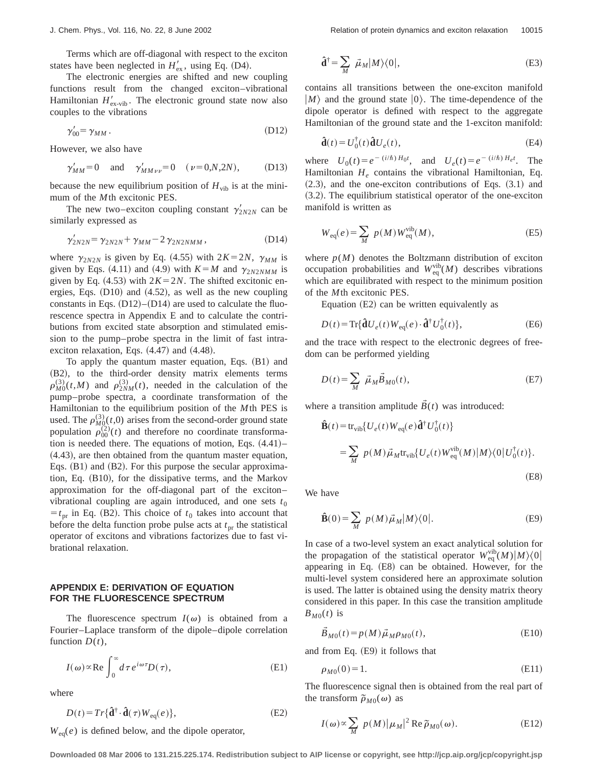Terms which are off-diagonal with respect to the exciton states have been neglected in  $H'_{ex}$ , using Eq. (D4).

The electronic energies are shifted and new coupling functions result from the changed exciton–vibrational Hamiltonian  $H'_{\text{ex-vib}}$ . The electronic ground state now also couples to the vibrations

$$
\gamma'_{00} = \gamma_{MM} \,. \tag{D12}
$$

However, we also have

$$
\gamma'_{MM} = 0
$$
 and  $\gamma'_{MM\nu\nu} = 0$  ( $\nu = 0, N, 2N$ ), (D13)

because the new equilibrium position of  $H_{\text{vib}}$  is at the minimum of the *M*th excitonic PES.

The new two–exciton coupling constant  $\gamma'_{2N2N}$  can be similarly expressed as

$$
\gamma'_{2N2N} = \gamma_{2N2N} + \gamma_{MM} - 2 \gamma_{2N2NM} , \qquad (D14)
$$

where  $\gamma_{2N2N}$  is given by Eq. (4.55) with  $2K=2N$ ,  $\gamma_{MM}$  is given by Eqs. (4.11) and (4.9) with  $K=M$  and  $\gamma_{2N2NMM}$  is given by Eq.  $(4.53)$  with  $2K=2N$ . The shifted excitonic energies, Eqs.  $(D10)$  and  $(4.52)$ , as well as the new coupling constants in Eqs.  $(D12)–(D14)$  are used to calculate the fluorescence spectra in Appendix E and to calculate the contributions from excited state absorption and stimulated emission to the pump–probe spectra in the limit of fast intraexciton relaxation, Eqs.  $(4.47)$  and  $(4.48)$ .

To apply the quantum master equation, Eqs. (B1) and (B2), to the third-order density matrix elements terms  $\rho_{M0}^{(3)}(t,M)$  and  $\rho_{2NM}^{(3)}(t)$ , needed in the calculation of the pump–probe spectra, a coordinate transformation of the Hamiltonian to the equilibrium position of the *M*th PES is used. The  $\rho_{MQ}^{(3)}(t,0)$  arises from the second-order ground state population  $\rho_{00}^{(2)}(t)$  and therefore no coordinate transformation is needed there. The equations of motion, Eqs.  $(4.41)$ –  $(4.43)$ , are then obtained from the quantum master equation, Eqs.  $(B1)$  and  $(B2)$ . For this purpose the secular approximation, Eq.  $(B10)$ , for the dissipative terms, and the Markov approximation for the off-diagonal part of the exciton– vibrational coupling are again introduced, and one sets  $t_0$  $t_{\text{pr}}$  in Eq. (B2). This choice of  $t_0$  takes into account that before the delta function probe pulse acts at  $t_{pr}$  the statistical operator of excitons and vibrations factorizes due to fast vibrational relaxation.

#### **APPENDIX E: DERIVATION OF EQUATION FOR THE FLUORESCENCE SPECTRUM**

The fluorescence spectrum  $I(\omega)$  is obtained from a Fourier–Laplace transform of the dipole–dipole correlation function  $D(t)$ ,

$$
I(\omega) \propto \text{Re} \int_0^\infty d\tau \, e^{i\omega\tau} D(\tau),\tag{E1}
$$

where

$$
D(t) = Tr{\hat{\mathbf{d}}^{\dagger} \cdot \hat{\mathbf{d}}(\tau) W_{\text{eq}}(e)},
$$
 (E2)

 $W_{eq}(e)$  is defined below, and the dipole operator,

$$
\hat{\mathbf{d}}^{\dagger} = \sum_{M} \vec{\mu}_{M} |M\rangle\langle 0|, \tag{E3}
$$

contains all transitions between the one-exciton manifold  $\vert M \rangle$  and the ground state  $\vert 0 \rangle$ . The time-dependence of the dipole operator is defined with respect to the aggregate Hamiltonian of the ground state and the 1-exciton manifold:

$$
\hat{\mathbf{d}}(t) = U_0^{\dagger}(t)\hat{\mathbf{d}}U_e(t),\tag{E4}
$$

where  $U_0(t) = e^{-(i/\hbar) H_0 t}$ , and  $U_e(t) = e^{-(i/\hbar) H_e t}$ . The Hamiltonian *He* contains the vibrational Hamiltonian, Eq.  $(2.3)$ , and the one-exciton contributions of Eqs.  $(3.1)$  and  $(3.2)$ . The equilibrium statistical operator of the one-exciton manifold is written as

$$
W_{\text{eq}}(e) = \sum_{M} p(M) W_{\text{eq}}^{\text{vib}}(M), \tag{E5}
$$

where  $p(M)$  denotes the Boltzmann distribution of exciton occupation probabilities and  $W_{\text{eq}}^{\text{vib}}(M)$  describes vibrations which are equilibrated with respect to the minimum position of the *M*th excitonic PES.

Equation  $(E2)$  can be written equivalently as

$$
D(t) = \text{Tr}\{\hat{\mathbf{d}}U_e(t)W_{\text{eq}}(e)\cdot\hat{\mathbf{d}}^\dagger U_0^\dagger(t)\},\tag{E6}
$$

and the trace with respect to the electronic degrees of freedom can be performed yielding

$$
D(t) = \sum_{M} \vec{\mu}_{M} \vec{B}_{M0}(t), \qquad (E7)
$$

where a transition amplitude  $\tilde{B}(t)$  was introduced:

$$
\hat{\mathbf{B}}(t) = \text{tr}_{\text{vib}} \{ U_e(t) W_{\text{eq}}(e) \hat{\mathbf{d}}^\dagger U_0^\dagger(t) \}
$$
\n
$$
= \sum_M p(M) \vec{\mu}_M \text{tr}_{\text{vib}} \{ U_e(t) W_{\text{eq}}^{\text{vib}}(M) | M \rangle \langle 0 | U_0^\dagger(t) \}.
$$
\n(E8)

We have

$$
\hat{\mathbf{B}}(0) = \sum_{M} p(M)\vec{\mu}_{M}|M\rangle\langle 0|.
$$
 (E9)

In case of a two-level system an exact analytical solution for the propagation of the statistical operator  $W_{\text{eq}}^{\text{vib}}(M)|M\rangle\langle 0|$ appearing in Eq.  $(E8)$  can be obtained. However, for the multi-level system considered here an approximate solution is used. The latter is obtained using the density matrix theory considered in this paper. In this case the transition amplitude  $B_{M0}(t)$  is

$$
\vec{B}_{M0}(t) = p(M)\vec{\mu}_M \rho_{M0}(t),\tag{E10}
$$

and from Eq.  $(E9)$  it follows that

$$
\rho_{M0}(0) = 1. \tag{E11}
$$

The fluorescence signal then is obtained from the real part of the transform  $\tilde{\rho}_{M0}(\omega)$  as

$$
I(\omega) \propto \sum_{M} p(M) |\mu_{M}|^2 \operatorname{Re} \tilde{\rho}_{M0}(\omega).
$$
 (E12)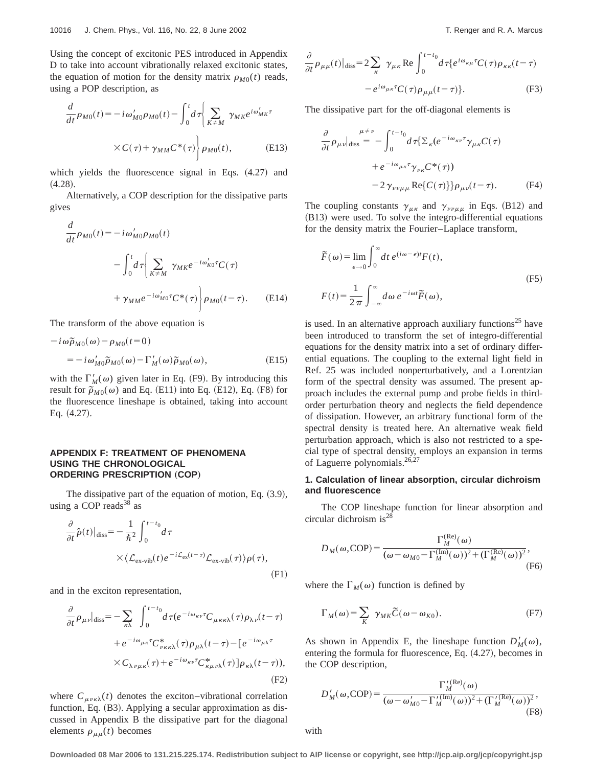Using the concept of excitonic PES introduced in Appendix D to take into account vibrationally relaxed excitonic states, the equation of motion for the density matrix  $\rho_{M0}(t)$  reads, using a POP description, as

$$
\frac{d}{dt}\rho_{M0}(t) = -i\omega'_{M0}\rho_{M0}(t) - \int_0^t d\tau \left\{ \sum_{K \neq M} \gamma_{MK} e^{i\omega'_{MK}\tau} \times C(\tau) + \gamma_{MM} C^*(\tau) \right\} \rho_{M0}(t),
$$
\n(E13)

which yields the fluorescence signal in Eqs.  $(4.27)$  and  $(4.28).$ 

Alternatively, a COP description for the dissipative parts gives

$$
\frac{d}{dt} \rho_{M0}(t) = -i \omega'_{M0} \rho_{M0}(t)
$$

$$
- \int_0^t d\tau \left\{ \sum_{K \neq M} \gamma_{M K} e^{-i \omega'_{K0} \tau} C(\tau) + \gamma_{M M} e^{-i \omega'_{M0} \tau} C^*(\tau) \right\} \rho_{M0}(t - \tau). \tag{E14}
$$

The transform of the above equation is

$$
-i\omega \tilde{\rho}_{M0}(\omega) - \rho_{M0}(t=0)
$$
  
=  $-i\omega'_{M0} \tilde{\rho}_{M0}(\omega) - \Gamma'_{M}(\omega) \tilde{\rho}_{M0}(\omega),$  (E15)

with the  $\Gamma_M'(\omega)$  given later in Eq. (F9). By introducing this result for  $\tilde{\rho}_{M0}(\omega)$  and Eq. (E11) into Eq. (E12), Eq. (F8) for the fluorescence lineshape is obtained, taking into account Eq.  $(4.27)$ .

# **APPENDIX F: TREATMENT OF PHENOMENA USING THE CHRONOLOGICAL ORDERING PRESCRIPTION (COP)**

The dissipative part of the equation of motion, Eq.  $(3.9)$ , using a COP reads $38$  as

$$
\frac{\partial}{\partial t} \hat{\rho}(t)|_{\text{diss}} = -\frac{1}{\hbar^2} \int_0^{t-t_0} d\tau
$$
  
 
$$
\times \langle \mathcal{L}_{\text{ex-vib}}(t) e^{-i\mathcal{L}_{\text{ex}}(t-\tau)} \mathcal{L}_{\text{ex-vib}}(\tau) \rangle \rho(\tau), \tag{F1}
$$

and in the exciton representation,

$$
\frac{\partial}{\partial t} \rho_{\mu\nu}|_{\text{diss}} = -\sum_{\kappa\lambda} \int_0^{t-t_0} d\tau (e^{-i\omega_{\kappa\nu}\tau} C_{\mu\kappa\kappa\lambda}(\tau) \rho_{\lambda\nu}(t-\tau) \n+ e^{-i\omega_{\mu\kappa}\tau} C_{\nu\kappa\kappa\lambda}^*(\tau) \rho_{\mu\lambda}(t-\tau) - [e^{-i\omega_{\mu\lambda}\tau} \n\times C_{\lambda\nu\mu\kappa}(\tau) + e^{-i\omega_{\kappa\nu}\tau} C_{\kappa\mu\nu\lambda}^*(\tau)] \rho_{\kappa\lambda}(t-\tau)),
$$
\n(F2)

where  $C_{\mu\nu\kappa\lambda}(t)$  denotes the exciton–vibrational correlation function, Eq. (B3). Applying a secular approximation as discussed in Appendix B the dissipative part for the diagonal elements  $\rho_{\mu\mu}(t)$  becomes

$$
\frac{\partial}{\partial t} \rho_{\mu\mu}(t)|_{\text{diss}} = 2 \sum_{\kappa} \gamma_{\mu\kappa} \text{Re} \int_{0}^{t-t_0} d\tau \{ e^{i\omega_{\kappa\mu}\tau} C(\tau) \rho_{\kappa\kappa}(t-\tau) -e^{i\omega_{\mu\kappa}\tau} C(\tau) \rho_{\mu\mu}(t-\tau) \}.
$$
\n(F3)

The dissipative part for the off-diagonal elements is

$$
\frac{\partial}{\partial t} \rho_{\mu\nu}|_{\text{diss}}^{\mu \neq \nu} = -\int_0^{t-t_0} d\tau \{ \Sigma_\kappa (e^{-i\omega_{\kappa\nu}\tau} \gamma_{\mu\kappa} C(\tau) + e^{-i\omega_{\mu\kappa}\tau} \gamma_{\nu\kappa} C^*(\tau)) - 2 \gamma_{\nu\nu\mu\mu} \text{Re}\{ C(\tau) \} \} \rho_{\mu\nu}(t-\tau). \tag{F4}
$$

The coupling constants  $\gamma_{\mu\kappa}$  and  $\gamma_{\nu\nu\mu\mu}$  in Eqs. (B12) and  $(B13)$  were used. To solve the integro-differential equations for the density matrix the Fourier–Laplace transform,

$$
\widetilde{F}(\omega) = \lim_{\epsilon \to 0} \int_0^{\infty} dt \, e^{(i\omega - \epsilon)t} F(t),
$$
\n
$$
F(t) = \frac{1}{2\pi} \int_{-\infty}^{\infty} d\omega \, e^{-i\omega t} \widetilde{F}(\omega),
$$
\n(F5)

is used. In an alternative approach auxiliary functions<sup>25</sup> have been introduced to transform the set of integro-differential equations for the density matrix into a set of ordinary differential equations. The coupling to the external light field in Ref. 25 was included nonperturbatively, and a Lorentzian form of the spectral density was assumed. The present approach includes the external pump and probe fields in thirdorder perturbation theory and neglects the field dependence of dissipation. However, an arbitrary functional form of the spectral density is treated here. An alternative weak field perturbation approach, which is also not restricted to a special type of spectral density, employs an expansion in terms of Laguerre polynomials.<sup>26,27</sup>

# **1. Calculation of linear absorption, circular dichroism and fluorescence**

The COP lineshape function for linear absorption and circular dichroism is<sup>28</sup>

$$
D_M(\omega, \text{COP}) = \frac{\Gamma_M^{(\text{Re})}(\omega)}{(\omega - \omega_{M0} - \Gamma_M^{(\text{Im})}(\omega))^2 + (\Gamma_M^{(\text{Re})}(\omega))^2},
$$
(F6)

where the  $\Gamma_M(\omega)$  function is defined by

$$
\Gamma_M(\omega) = \sum_K \gamma_{MK} \widetilde{C}(\omega - \omega_{K0}). \tag{F7}
$$

As shown in Appendix E, the lineshape function  $D'_M(\omega)$ , entering the formula for fluorescence, Eq.  $(4.27)$ , becomes in the COP description,

$$
D'_{M}(\omega, \text{COP}) = \frac{\Gamma'_{M}^{(\text{Re})}(\omega)}{(\omega - \omega'_{M0} - \Gamma'_{M}^{(\text{Im})}(\omega))^{2} + (\Gamma'_{M}^{(\text{Re})}(\omega))^{2}},
$$
(F8)

with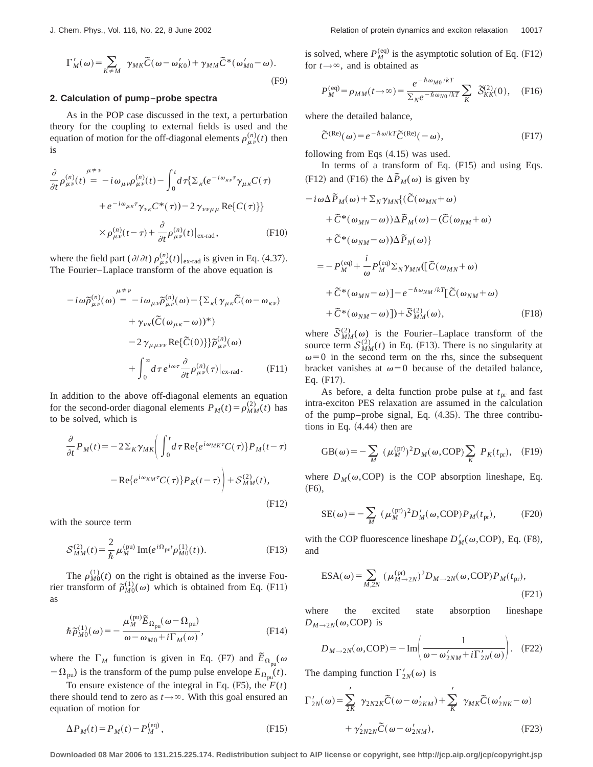$$
\Gamma'_{M}(\omega) = \sum_{K \neq M} \gamma_{MK} \widetilde{C}(\omega - \omega'_{K0}) + \gamma_{MM} \widetilde{C}^{*}(\omega'_{M0} - \omega).
$$
\n(F9)

## **2. Calculation of pump–probe spectra**

As in the POP case discussed in the text, a perturbation theory for the coupling to external fields is used and the equation of motion for the off-diagonal elements  $\rho_{\mu\nu}^{(n)}(t)$  then is

$$
\frac{\partial}{\partial t} \rho_{\mu\nu}^{(n)}(t) = -i \omega_{\mu\nu} \rho_{\mu\nu}^{(n)}(t) - \int_0^t d\tau \{ \Sigma_\kappa (e^{-i \omega_{\kappa\nu} \tau} \gamma_{\mu\kappa} C(\tau) \n+ e^{-i \omega_{\mu\kappa} \tau} \gamma_{\nu\kappa} C^*(\tau) \} ) - 2 \gamma_{\nu\nu\mu\mu} \text{Re}\{ C(\tau) \} \}
$$
\n
$$
\times \rho_{\mu\nu}^{(n)}(t-\tau) + \frac{\partial}{\partial t} \rho_{\mu\nu}^{(n)}(t) |_{\text{ex-rad}}, \tag{F10}
$$

where the field part ( $\partial/\partial t$ )  $\rho_{\mu\nu}^{(n)}(t)|_{\text{ex-rad}}$  is given in Eq. (4.37). The Fourier–Laplace transform of the above equation is

$$
-i\omega \tilde{\rho}_{\mu\nu}^{(n)}(\omega) = -i\omega_{\mu\nu} \tilde{\rho}_{\mu\nu}^{(n)}(\omega) - \{\Sigma_{\kappa}(\gamma_{\mu\kappa}\tilde{C}(\omega - \omega_{\kappa\nu})
$$

$$
+ \gamma_{\nu\kappa}(\tilde{C}(\omega_{\mu\kappa} - \omega))^*)
$$

$$
-2\gamma_{\mu\mu\nu\nu} \text{Re}\{\tilde{C}(0)\}\tilde{\rho}_{\mu\nu}^{(n)}(\omega)
$$

$$
+ \int_0^\infty d\tau \, e^{i\omega\tau} \frac{\partial}{\partial t} \rho_{\mu\nu}^{(n)}(\tau)|_{\text{ex-rad}}. \tag{F11}
$$

In addition to the above off-diagonal elements an equation for the second-order diagonal elements  $P_M(t) = \rho_{MM}^{(2)}(t)$  has to be solved, which is

$$
\frac{\partial}{\partial t}P_M(t) = -2\Sigma_K \gamma_{MK} \bigg( \int_0^t d\tau \operatorname{Re}\{e^{i\omega_{MK} \tau} C(\tau)\} P_M(t-\tau) - \operatorname{Re}\{e^{i\omega_{KM} \tau} C(\tau)\} P_K(t-\tau) \bigg) + S_{MM}^{(2)}(t),
$$
\n(F12)

with the source term

$$
S_{MM}^{(2)}(t) = \frac{2}{\hbar} \mu_M^{(pu)} \text{Im}(e^{i\Omega_{pu}t} \rho_{M0}^{(1)}(t)).
$$
 (F13)

The  $\rho_{M0}^{(1)}(t)$  on the right is obtained as the inverse Fourier transform of  $\tilde{\rho}_{M0}^{(1)}(\omega)$  which is obtained from Eq. (F11) as

$$
\hbar \tilde{\rho}_{M0}^{(1)}(\omega) = -\frac{\mu_M^{(\text{pu})} \tilde{E}_{\Omega_{\text{pu}}}(\omega - \Omega_{\text{pu}})}{\omega - \omega_{M0} + i \Gamma_M(\omega)},
$$
(F14)

where the  $\Gamma_M$  function is given in Eq. (F7) and  $\widetilde{E}_{\Omega_{\text{pu}}}(\omega)$  $-\Omega_{\text{pu}}$ ) is the transform of the pump pulse envelope  $E_{\Omega_{\text{pu}}} (t)$ .

To ensure existence of the integral in Eq.  $(F5)$ , the  $F(t)$ there should tend to zero as  $t \rightarrow \infty$ . With this goal ensured an equation of motion for

$$
\Delta P_M(t) = P_M(t) - P_M^{\text{(eq)}},\tag{F15}
$$

is solved, where  $P_M^{\text{(eq)}}$  is the asymptotic solution of Eq. (F12) for  $t \rightarrow \infty$ , and is obtained as

$$
\mu_M^{(eq)} = \rho_{MM}(t \to \infty) = \frac{e^{-\hbar \omega_{M0}/kT}}{\Sigma_N e^{-\hbar \omega_{N0}/kT}} \sum_K \tilde{S}_{KK}^{(2)}(0), \quad \text{(F16)}
$$

where the detailed balance,

*p* 

$$
\widetilde{C}^{(\text{Re})}(\omega) = e^{-\hbar \omega/kT} \widetilde{C}^{(\text{Re})}(-\omega), \tag{F17}
$$

following from Eqs  $(4.15)$  was used.

In terms of a transform of Eq.  $(F15)$  and using Eqs. (F12) and (F16) the  $\Delta \tilde{P}_M(\omega)$  is given by

$$
-i\omega\Delta\tilde{P}_M(\omega) + \Sigma_N \gamma_{MN} \{ (\tilde{C}(\omega_{MN} + \omega) \n+ \tilde{C}^*(\omega_{MN} - \omega)) \Delta\tilde{P}_M(\omega) - (\tilde{C}(\omega_{NM} + \omega) \n+ \tilde{C}^*(\omega_{NM} - \omega)) \Delta\tilde{P}_N(\omega) \}
$$
\n
$$
= -P_M^{(\text{eq})} + \frac{i}{\omega} P_M^{(\text{eq})} \Sigma_N \gamma_{MN} ([\tilde{C}(\omega_{MN} + \omega) \n+ \tilde{C}^*(\omega_{MN} - \omega)] - e^{-\hbar \omega_{NM}/kT} [\tilde{C}(\omega_{NM} + \omega) \n+ \tilde{C}^*(\omega_{NM} - \omega)]) + \tilde{S}_{MM}^{(2)}(\omega), \qquad (F18)
$$

where  $\tilde{S}^{(2)}_{MM}(\omega)$  is the Fourier–Laplace transform of the source term  $S_{MM}^{(2)}(t)$  in Eq. (F13). There is no singularity at  $\omega$ =0 in the second term on the rhs, since the subsequent bracket vanishes at  $\omega=0$  because of the detailed balance, Eq.  $(F17)$ .

As before, a delta function probe pulse at  $t_{pr}$  and fast intra-exciton PES relaxation are assumed in the calculation of the pump–probe signal, Eq.  $(4.35)$ . The three contributions in Eq.  $(4.44)$  then are

$$
GB(\omega) = -\sum_{M} (\mu_M^{(\text{pr})})^2 D_M(\omega, \text{COP}) \sum_{K} P_K(t_{\text{pr}}), \quad \text{(F19)}
$$

where  $D_M(\omega, \text{COP})$  is the COP absorption lineshape, Eq.  $(F6),$ 

SE(
$$
\omega
$$
) =  $-\sum_{M} (\mu_M^{(pr)})^2 D'_M(\omega, COP) P_M(t_{pr}),$  (F20)

with the COP fluorescence lineshape  $D'_M(\omega, \text{COP})$ , Eq. (F8), and

$$
\text{ESA}(\omega) = \sum_{M,2N} (\mu_{M \to 2N}^{(\text{pr})})^2 D_{M \to 2N}(\omega, \text{COP}) P_M(t_{\text{pr}}),
$$
\n
$$
\text{(F21)}
$$

where the excited state absorption lineshape  $D_{M\rightarrow 2N}(\omega,$ COP) is

$$
D_{M \to 2N}(\omega, \text{COP}) = -\text{Im}\left(\frac{1}{\omega - \omega'_{2NM} + i\Gamma'_{2N}(\omega)}\right). \quad \text{(F22)}
$$

The damping function  $\Gamma'_{2N}(\omega)$  is

$$
\Gamma'_{2N}(\omega) = \sum'_{2K} \gamma_{2N2K} \widetilde{C}(\omega - \omega'_{2KM}) + \sum'_{K} \gamma_{MK} \widetilde{C}(\omega'_{2NK} - \omega) + \gamma'_{2N2N} \widetilde{C}(\omega - \omega'_{2NM}),
$$
\n(F23)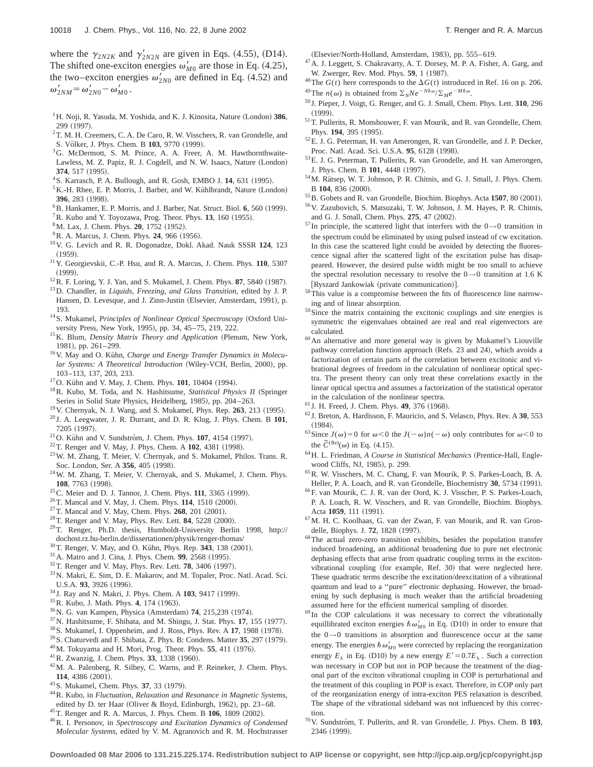where the  $\gamma_{2N2K}$  and  $\gamma'_{2N2N}$  are given in Eqs. (4.55), (D14). The shifted one-exciton energies  $\omega'_{M0}$  are those in Eq. (4.25), the two–exciton energies  $\omega'_{2N0}$  are defined in Eq. (4.52) and  $\omega'_{2NM} = \omega'_{2N0} - \omega'_{M0}$ .

- <sup>1</sup>H. Noji, R. Yasuda, M. Yoshida, and K. J. Kinosita, Nature (London) 386, 299 (1997).
- 2T. M. H. Creemers, C. A. De Caro, R. W. Visschers, R. van Grondelle, and S. Völker, J. Phys. Chem. B 103, 9770 (1999).
- <sup>3</sup>G. McDermott, S. M. Prince, A. A. Freer, A. M. Hawthornthwaite-Lawless, M. Z. Papiz, R. J. Cogdell, and N. W. Isaacs, Nature (London) **374.** 517 (1995).
- <sup>4</sup> S. Karrasch, P. A. Bullough, and R. Gosh, EMBO J. 14, 631 (1995).
- $5K.-H.$  Rhee, E. P. Morris, J. Barber, and W. Kühlbrandt, Nature (London) 396, 283 (1998).
- <sup>6</sup>B. Hankamer, E. P. Morris, and J. Barber, Nat. Struct. Biol. 6, 560 (1999).
- ${}^{7}$ R. Kubo and Y. Toyozawa, Prog. Theor. Phys. **13**, 160 (1955).
- <sup>8</sup>M. Lax, J. Chem. Phys. **20**, 1752 (1952).
- $^{9}$ R. A. Marcus, J. Chem. Phys. **24**, 966 (1956).
- 10V. G. Levich and R. R. Dogonadze, Dokl. Akad. Nauk SSSR **124**, 123  $(1959).$
- 11Y. Georgievskii, C.-P. Hsu, and R. A. Marcus, J. Chem. Phys. **110**, 5307  $(1999).$
- $12R$ . F. Loring, Y. J. Yan, and S. Mukamel, J. Chem. Phys. **87**, 5840 (1987).
- 13D. Chandler, in *Liquids, Freezing, and Glass Transition*, edited by J. P. Hansen, D. Levesque, and J. Zinn-Justin (Elsevier, Amsterdam, 1991), p. 193.
- <sup>14</sup> S. Mukamel, *Principles of Nonlinear Optical Spectroscopy* (Oxford University Press, New York, 1995), pp. 34, 45-75, 219, 222.
- <sup>15</sup>K. Blum, *Density Matrix Theory and Application* (Plenum, New York, 1981), pp. 261-299.
- <sup>16</sup> V. May and O. Kühn, *Charge and Energy Transfer Dynamics in Molecular Systems: A Theoretical Introduction* (Wiley-VCH, Berlin, 2000), pp. 103–113, 137, 203, 233.
- <sup>17</sup> O. Kühn and V. May, J. Chem. Phys. **101**, 10404 (1994).
- <sup>18</sup>R. Kubo, M. Toda, and N. Hashitsume, *Statistical Physics II* (Springer Series in Solid State Physics, Heidelberg, 1985), pp. 204–263.
- <sup>19</sup> V. Chernyak, N. J. Wang, and S. Mukamel, Phys. Rep. **263**, 213 (1995).
- <sup>20</sup> J. A. Leegwater, J. R. Durrant, and D. R. Klug, J. Phys. Chem. B **101**, 7205 (1997).
- <sup>21</sup>O. Kühn and V. Sundström, J. Chem. Phys. **107**, 4154 (1997).
- <sup>22</sup> T. Renger and V. May, J. Phys. Chem. A **102**, 4381 (1998).
- 23W. M. Zhang, T. Meier, V. Chernyak, and S. Mukamel, Philos. Trans. R. Soc. London, Ser. A 356, 405 (1998).
- 24W. M. Zhang, T. Meier, V. Chernyak, and S. Mukamel, J. Chem. Phys. **108**, 7763 (1998).
- <sup>25</sup> C. Meier and D. J. Tannor, J. Chem. Phys. **111**, 3365 (1999).
- <sup>26</sup> T. Mancal and V. May, J. Chem. Phys. **114**, 1510 (2000).
- <sup>27</sup>T. Mancal and V. May, Chem. Phys. **268**, 201 (2001).
- <sup>28</sup> T. Renger and V. May, Phys. Rev. Lett. **84**, 5228 (2000).
- 29T. Renger, Ph.D. thesis, Humboldt-University Berlin 1998, http:// dochost.rz.hu-berlin.de/dissertationen/physik/renger-thomas/
- <sup>30</sup> T. Renger, V. May, and O. Kühn, Phys. Rep. 343, 138 (2001).
- <sup>31</sup> A. Matro and J. Cina, J. Phys. Chem. **99**, 2568 (1995).
- <sup>32</sup> T. Renger and V. May, Phys. Rev. Lett. **78**, 3406 (1997).
- 33N. Makri, E. Sim, D. E. Makarov, and M. Topaler, Proc. Natl. Acad. Sci. U.S.A. 93, 3926 (1996).
- <sup>34</sup> J. Ray and N. Makri, J. Phys. Chem. A **103**, 9417 (1999).
- <sup>35</sup> R. Kubo, J. Math. Phys. **4**, 174 (1963).
- <sup>36</sup> N. G. van Kampen, Physica (Amsterdam) **74**, 215,239 (1974).
- $37$ N. Hashitsume, F. Shibata, and M. Shingu, J. Stat. Phys.  $17$ ,  $155$   $(1977)$ .
- <sup>38</sup> S. Mukamel, I. Oppenheim, and J. Ross, Phys. Rev. A **17**, 1988 (1978).
- <sup>39</sup> S. Chaturvedi and F. Shibata, Z. Phys. B: Condens. Matter 35, 297 (1979).
- <sup>40</sup>M. Tokuyama and H. Mori, Prog. Theor. Phys. **55**, 411 (1976).
- <sup>41</sup> R. Zwanzig, J. Chem. Phys. **33**, 1338 (1960).
- <sup>42</sup>M. A. Palenberg, R. Silbey, C. Warns, and P. Reineker, J. Chem. Phys. **114**, 4386 (2001).
- <sup>43</sup> S. Mukamel, Chem. Phys. **37**, 33 (1979).
- 44R. Kubo, in *Fluctuation, Relaxation and Resonance in Magnetic Systems*, edited by D. ter Haar (Oliver & Boyd, Edinburgh, 1962), pp. 23-68.
- <sup>45</sup> T. Renger and R. A. Marcus, J. Phys. Chem. B **106**, 1809 (2002).
- 46R. I. Personov, in *Spectroscopy and Excitation Dynamics of Condensed Molecular Systems*, edited by V. M. Agranovich and R. M. Hochstrasser
- (Elsevier/North-Holland, Amsterdam, 1983), pp. 555-619.
- $47A$ . J. Leggett, S. Chakravarty, A. T. Dorsey, M. P. A. Fisher, A. Garg, and W. Zwerger, Rev. Mod. Phys. **59**, 1 (1987).
- <sup>48</sup>The  $G(t)$  here corresponds to the  $\Delta G(t)$  introduced in Ref. 16 on p. 206.
- <sup>49</sup> The *n*( $\omega$ ) is obtained from  $\Sigma_N N e^{-N\hbar \omega} \Sigma_M e^{-M\hbar \omega}$ .
- <sup>50</sup> J. Pieper, J. Voigt, G. Renger, and G. J. Small, Chem. Phys. Lett. **310**, 296  $(1999).$
- 51T. Pullerits, R. Monshouwer, F. van Mourik, and R. van Grondelle, Chem. Phys. 194, 395 (1995).
- 52E. J. G. Peterman, H. van Amerongen, R. van Grondelle, and J. P. Decker, Proc. Natl. Acad. Sci. U.S.A. 95, 6128 (1998).
- 53E. J. G. Peterman, T. Pullerits, R. van Grondelle, and H. van Amerongen, J. Phys. Chem. B 101, 4448 (1997).
- <sup>54</sup>M. Rätsep, W. T. Johnson, P. R. Chitnis, and G. J. Small, J. Phys. Chem. B 104, 836 (2000).
- <sup>55</sup>B. Gobets and R. van Grondelle, Biochim. Biophys. Acta 1507, 80 (2001).
- 56V. Zazubovich, S. Matsuzaki, T. W. Johnson, J. M. Hayes, P. R. Chitnis, and G. J. Small, Chem. Phys. 275, 47 (2002).
- $^{57}{\rm In}$  principle, the scattered light that interfers with the 0→0 transition in the spectrum could be eliminated by using pulsed instead of cw excitation. In this case the scattered light could be avoided by detecting the fluorescence signal after the scattered light of the excitation pulse has disappeared. However, the desired pulse width might be too small to achieve the spectral resolution necessary to resolve the  $0 \rightarrow 0$  transition at 1.6 K [Ryszard Jankowiak (private communication)].
- 58This value is a compromise between the fits of fluorescence line narrowing and of linear absorption.
- <sup>59</sup> Since the matrix containing the excitonic couplings and site energies is symmetric the eigenvalues obtained are real and real eigenvectors are calculated.
- 60An alternative and more general way is given by Mukamel's Liouville pathway correlation function approach (Refs. 23 and 24), which avoids a factorization of certain parts of the correlation between excitonic and vibrational degrees of freedom in the calculation of nonlinear optical spectra. The present theory can only treat these correlations exactly in the linear optical spectra and assumes a factorization of the statistical operator in the calculation of the nonlinear spectra.
- <sup>61</sup> J. H. Freed, J. Chem. Phys. **49**, 376 (1968).
- <sup>62</sup> J. Breton, A. Hardisson, F. Mauricio, and S. Velasco, Phys. Rev. A **30**, 553  $(1984).$
- <sup>63</sup> Since  $J(\omega) = 0$  for  $\omega < 0$  the  $J(-\omega)n(-\omega)$  only contributes for  $\omega < 0$  to the  $\tilde{C}^{(Re)}(\omega)$  in Eq. (4.15).
- <sup>64</sup> H. L. Friedman, *A Course in Statistical Mechanics* (Prentice-Hall, Englewood Cliffs, NJ, 1985), p. 299.
- 65R. W. Visschers, M. C. Chang, F. van Mourik, P. S. Parkes-Loach, B. A. Heller, P. A. Loach, and R. van Grondelle, Biochemistry 30, 5734 (1991).
- 66F. van Mourik, C. J. R. van der Oord, K. J. Visscher, P. S. Parkes-Loach, P. A. Loach, R. W. Visschers, and R. van Grondelle, Biochim. Biophys. Acta 1059, 111 (1991).
- 67M. H. C. Koolhaas, G. van der Zwan, F. van Mourik, and R. van Grondelle, Biophys. J. 72, 1828 (1997).
- 68The actual zero-zero transition exhibits, besides the population transfer induced broadening, an additional broadening due to pure net electronic dephasing effects that arise from quadratic coupling terms in the excitonvibrational coupling (for example, Ref. 30) that were neglected here. These quadratic terms describe the excitation/deexcitation of a vibrational quantum and lead to a ''pure'' electronic dephasing. However, the broadening by such dephasing is much weaker than the artificial broadening assumed here for the efficient numerical sampling of disorder.
- <sup>69</sup> In the COP calculations it was necessary to correct the vibrationally equillibrated exciton energies  $\hbar \omega'_{M0}$  in Eq. (D10) in order to ensure that the 0→0 transitions in absorption and fluorescence occur at the same energy. The energies  $\hbar \omega'_{M0}$  were corrected by replacing the reorganization energy  $E_{\lambda}$  in Eq. (D10) by a new energy  $E' = 0.7E_{\lambda}$ . Such a correction was necessary in COP but not in POP because the treatment of the diagonal part of the exciton vibrational coupling in COP is perturbational and the treatment of this coupling in POP is exact. Therefore, in COP only part of the reorganization energy of intra-exciton PES relaxation is described. The shape of the vibrational sideband was not influenced by this correction.
- <sup>70</sup> V. Sundström, T. Pullerits, and R. van Grondelle, J. Phys. Chem. B 103, 2346 (1999).